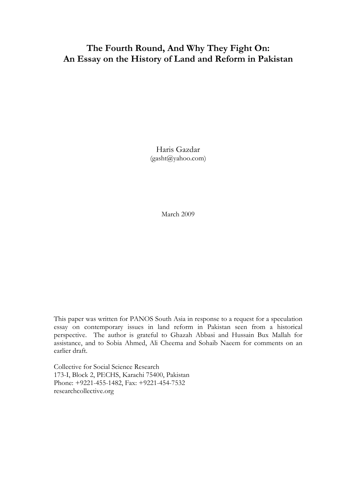# **The Fourth Round, And Why They Fight On: An Essay on the History of Land and Reform in Pakistan**

Haris Gazdar (gasht@yahoo.com)

March 2009

This paper was written for PANOS South Asia in response to a request for a speculation essay on contemporary issues in land reform in Pakistan seen from a historical perspective. The author is grateful to Ghazah Abbasi and Hussain Bux Mallah for assistance, and to Sobia Ahmed, Ali Cheema and Sohaib Naeem for comments on an earlier draft.

Collective for Social Science Research 173-I, Block 2, PECHS, Karachi 75400, Pakistan Phone: +9221-455-1482, Fax: +9221-454-7532 researchcollective.org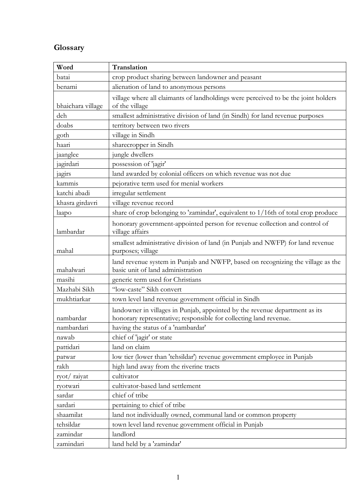# **Glossary**

| Word              | Translation                                                                                                                                      |
|-------------------|--------------------------------------------------------------------------------------------------------------------------------------------------|
| batai             | crop product sharing between landowner and peasant                                                                                               |
| benami            | alienation of land to anonymous persons                                                                                                          |
| bhaichara village | village where all claimants of landholdings were perceived to be the joint holders<br>of the village                                             |
| deh               | smallest administrative division of land (in Sindh) for land revenue purposes                                                                    |
| doabs             | territory between two rivers                                                                                                                     |
| goth              | village in Sindh                                                                                                                                 |
| haari             | sharecropper in Sindh                                                                                                                            |
| jaanglee          | jungle dwellers                                                                                                                                  |
| jagirdari         | possession of 'jagir'                                                                                                                            |
| jagirs            | land awarded by colonial officers on which revenue was not due                                                                                   |
| kammis            | pejorative term used for menial workers                                                                                                          |
| katchi abadi      | irregular settlement                                                                                                                             |
| khasra girdavri   | village revenue record                                                                                                                           |
| laapo             | share of crop belonging to 'zamindar', equivalent to 1/16th of total crop produce                                                                |
| lambardar         | honorary government-appointed person for revenue collection and control of<br>village affairs                                                    |
| mahal             | smallest administrative division of land (in Punjab and NWFP) for land revenue<br>purposes; village                                              |
| mahalwari         | land revenue system in Punjab and NWFP, based on recognizing the village as the<br>basic unit of land administration                             |
| masihi            | generic term used for Christians                                                                                                                 |
| Mazhabi Sikh      | "low-caste" Sikh convert                                                                                                                         |
| mukhtiarkar       | town level land revenue government official in Sindh                                                                                             |
| nambardar         | landowner in villages in Punjab, appointed by the revenue department as its<br>honorary representative; responsible for collecting land revenue. |
| nambardari        | having the status of a 'nambardar'                                                                                                               |
| nawab             | chief of 'jagir' or state                                                                                                                        |
| pattidari         | land on claim                                                                                                                                    |
| patwar            | low tier (lower than 'tehsildar') revenue government employee in Punjab                                                                          |
| rakh              | high land away from the riverine tracts                                                                                                          |
| ryot/raiyat       | cultivator                                                                                                                                       |
| ryotwari          | cultivator-based land settlement                                                                                                                 |
| sardar            | chief of tribe                                                                                                                                   |
| sardari           | pertaining to chief of tribe                                                                                                                     |
| shaamilat         | land not individually owned, communal land or common property                                                                                    |
| tehsildar         | town level land revenue government official in Punjab                                                                                            |
| zamindar          | landlord                                                                                                                                         |
| zamindari         | land held by a 'zamindar'                                                                                                                        |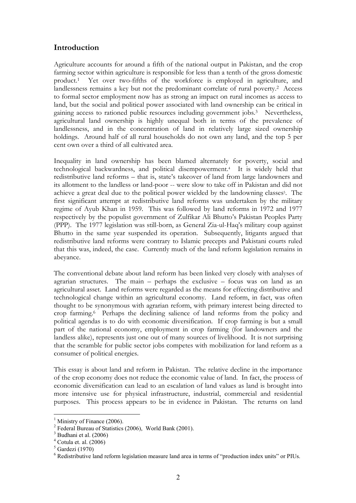# **Introduction**

Agriculture accounts for around a fifth of the national output in Pakistan, and the crop farming sector within agriculture is responsible for less than a tenth of the gross domestic product.1 Yet over two-fifths of the workforce is employed in agriculture, and landlessness remains a key but not the predominant correlate of rural poverty.2 Access to formal sector employment now has as strong an impact on rural incomes as access to land, but the social and political power associated with land ownership can be critical in gaining access to rationed public resources including government jobs.3 Nevertheless, agricultural land ownership is highly unequal both in terms of the prevalence of landlessness, and in the concentration of land in relatively large sized ownership holdings. Around half of all rural households do not own any land, and the top 5 per cent own over a third of all cultivated area.

Inequality in land ownership has been blamed alternately for poverty, social and technological backwardness, and political disempowerment.4 It is widely held that redistributive land reforms – that is, state's takeover of land from large landowners and its allotment to the landless or land-poor -- were slow to take off in Pakistan and did not achieve a great deal due to the political power wielded by the landowning classes<sup>5</sup>. The first significant attempt at redistributive land reforms was undertaken by the military regime of Ayub Khan in 1959. This was followed by land reforms in 1972 and 1977 respectively by the populist government of Zulfikar Ali Bhutto's Pakistan Peoples Party (PPP). The 1977 legislation was still-born, as General Zia-ul-Haq's military coup against Bhutto in the same year suspended its operation. Subsequently, litigants argued that redistributive land reforms were contrary to Islamic precepts and Pakistani courts ruled that this was, indeed, the case. Currently much of the land reform legislation remains in abeyance.

The conventional debate about land reform has been linked very closely with analyses of agrarian structures. The main – perhaps the exclusive – focus was on land as an agricultural asset. Land reforms were regarded as the means for effecting distributive and technological change within an agricultural economy. Land reform, in fact, was often thought to be synonymous with agrarian reform, with primary interest being directed to crop farming.6 Perhaps the declining salience of land reforms from the policy and political agendas is to do with economic diversification. If crop farming is but a small part of the national economy, employment in crop farming (for landowners and the landless alike), represents just one out of many sources of livelihood. It is not surprising that the scramble for public sector jobs competes with mobilization for land reform as a consumer of political energies.

This essay is about land and reform in Pakistan. The relative decline in the importance of the crop economy does not reduce the economic value of land. In fact, the process of economic diversification can lead to an escalation of land values as land is brought into more intensive use for physical infrastructure, industrial, commercial and residential purposes. This process appears to be in evidence in Pakistan. The returns on land

 $<sup>1</sup>$  Ministry of Finance (2006).</sup>

<sup>&</sup>lt;sup>2</sup> Federal Bureau of Statistics (2006), World Bank (2001).

 $3$  Budhani et al. (2006)

 $4$  Cotula et. al. (2006)

 $5$  Gardezi (1970)

<sup>6</sup> Redistributive land reform legislation measure land area in terms of "production index units" or PIUs.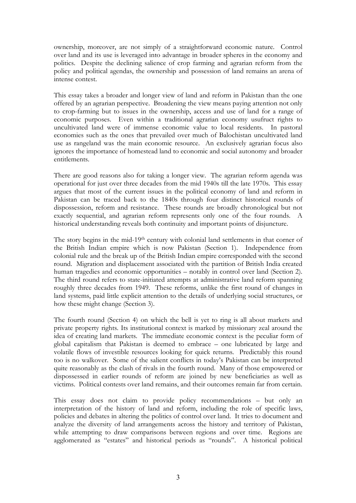ownership, moreover, are not simply of a straightforward economic nature. Control over land and its use is leveraged into advantage in broader spheres in the economy and politics. Despite the declining salience of crop farming and agrarian reform from the policy and political agendas, the ownership and possession of land remains an arena of intense contest.

This essay takes a broader and longer view of land and reform in Pakistan than the one offered by an agrarian perspective. Broadening the view means paying attention not only to crop-farming but to issues in the ownership, access and use of land for a range of economic purposes. Even within a traditional agrarian economy usufruct rights to uncultivated land were of immense economic value to local residents. In pastoral economies such as the ones that prevailed over much of Balochistan uncultivated land use as rangeland was the main economic resource. An exclusively agrarian focus also ignores the importance of homestead land to economic and social autonomy and broader entitlements.

There are good reasons also for taking a longer view. The agrarian reform agenda was operational for just over three decades from the mid 1940s till the late 1970s. This essay argues that most of the current issues in the political economy of land and reform in Pakistan can be traced back to the 1840s through four distinct historical rounds of dispossession, reform and resistance. These rounds are broadly chronological but not exactly sequential, and agrarian reform represents only one of the four rounds. A historical understanding reveals both continuity and important points of disjuncture.

The story begins in the mid-19th century with colonial land settlements in that corner of the British Indian empire which is now Pakistan (Section 1). Independence from colonial rule and the break up of the British Indian empire corresponded with the second round. Migration and displacement associated with the partition of British India created human tragedies and economic opportunities – notably in control over land (Section 2). The third round refers to state-initiated attempts at administrative land reform spanning roughly three decades from 1949. These reforms, unlike the first round of changes in land systems, paid little explicit attention to the details of underlying social structures, or how these might change (Section 3).

The fourth round (Section 4) on which the bell is yet to ring is all about markets and private property rights. Its institutional context is marked by missionary zeal around the idea of creating land markets. The immediate economic context is the peculiar form of global capitalism that Pakistan is deemed to embrace – one lubricated by large and volatile flows of investible resources looking for quick returns. Predictably this round too is no walkover. Some of the salient conflicts in today's Pakistan can be interpreted quite reasonably as the clash of rivals in the fourth round. Many of those empowered or dispossessed in earlier rounds of reform are joined by new beneficiaries as well as victims. Political contests over land remains, and their outcomes remain far from certain.

This essay does not claim to provide policy recommendations – but only an interpretation of the history of land and reform, including the role of specific laws, policies and debates in altering the politics of control over land. It tries to document and analyze the diversity of land arrangements across the history and territory of Pakistan, while attempting to draw comparisons between regions and over time. Regions are agglomerated as "estates" and historical periods as "rounds". A historical political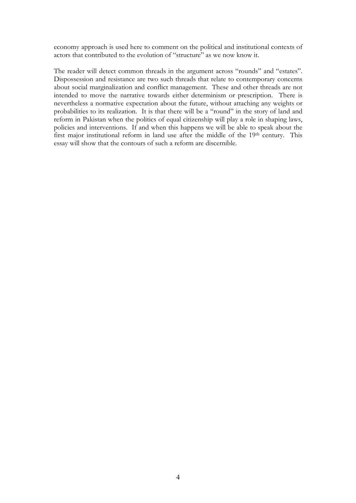economy approach is used here to comment on the political and institutional contexts of actors that contributed to the evolution of "structure" as we now know it.

The reader will detect common threads in the argument across "rounds" and "estates". Dispossession and resistance are two such threads that relate to contemporary concerns about social marginalization and conflict management. These and other threads are not intended to move the narrative towards either determinism or prescription. There is nevertheless a normative expectation about the future, without attaching any weights or probabilities to its realization. It is that there will be a "round" in the story of land and reform in Pakistan when the politics of equal citizenship will play a role in shaping laws, policies and interventions. If and when this happens we will be able to speak about the first major institutional reform in land use after the middle of the 19<sup>th</sup> century. This essay will show that the contours of such a reform are discernible.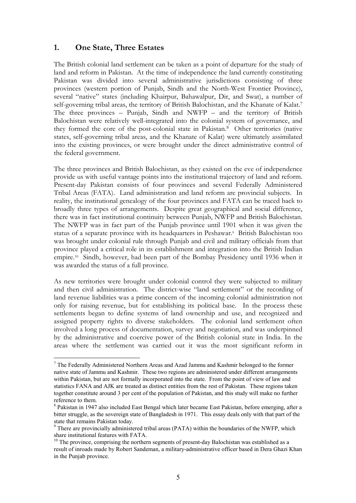# **1. One State, Three Estates**

The British colonial land settlement can be taken as a point of departure for the study of land and reform in Pakistan. At the time of independence the land currently constituting Pakistan was divided into several administrative jurisdictions consisting of three provinces (western portion of Punjab, Sindh and the North-West Frontier Province), several "native" states (including Khairpur, Bahawalpur, Dir, and Swat), a number of self-governing tribal areas, the territory of British Balochistan, and the Khanate of Kalat.<sup>7</sup> The three provinces – Punjab, Sindh and NWFP – and the territory of British Balochistan were relatively well-integrated into the colonial system of governance, and they formed the core of the post-colonial state in Pakistan.8 Other territories (native states, self-governing tribal areas, and the Khanate of Kalat) were ultimately assimilated into the existing provinces, or were brought under the direct administrative control of the federal government.

The three provinces and British Balochistan, as they existed on the eve of independence provide us with useful vantage points into the institutional trajectory of land and reform. Present-day Pakistan consists of four provinces and several Federally Administered Tribal Areas (FATA). Land administration and land reform are provincial subjects. In reality, the institutional genealogy of the four provinces and FATA can be traced back to broadly three types of arrangements. Despite great geographical and social difference, there was in fact institutional continuity between Punjab, NWFP and British Balochistan. The NWFP was in fact part of the Punjab province until 1901 when it was given the status of a separate province with its headquarters in Peshawar.9 British Balochistan too was brought under colonial rule through Punjab and civil and military officials from that province played a critical role in its establishment and integration into the British Indian empire.10 Sindh, however, had been part of the Bombay Presidency until 1936 when it was awarded the status of a full province.

As new territories were brought under colonial control they were subjected to military and then civil administration. The district-wise "land settlement" or the recording of land revenue liabilities was a prime concern of the incoming colonial administration not only for raising revenue, but for establishing its political base. In the process these settlements began to define systems of land ownership and use, and recognized and assigned property rights to diverse stakeholders. The colonial land settlement often involved a long process of documentation, survey and negotiation, and was underpinned by the administrative and coercive power of the British colonial state in India. In the areas where the settlement was carried out it was the most significant reform in

 $<sup>7</sup>$  The Federally Administered Northern Areas and Azad Jammu and Kashmir belonged to the former</sup> native state of Jammu and Kashmir. These two regions are administered under different arrangements within Pakistan, but are not formally incorporated into the state. From the point of view of law and statistics FANA and AJK are treated as distinct entities from the rest of Pakistan. These regions taken together constitute around 3 per cent of the population of Pakistan, and this study will make no further reference to them.

<sup>8</sup> Pakistan in 1947 also included East Bengal which later became East Pakistan, before emerging, after a bitter struggle, as the sovereign state of Bangladesh in 1971. This essay deals only with that part of the state that remains Pakistan today.

<sup>&</sup>lt;sup>9</sup> There are provincially administered tribal areas (PATA) within the boundaries of the NWFP, which share institutional features with FATA.

 $10$  The province, comprising the northern segments of present-day Balochistan was established as a result of inroads made by Robert Sandeman, a military-administrative officer based in Dera Ghazi Khan in the Punjab province.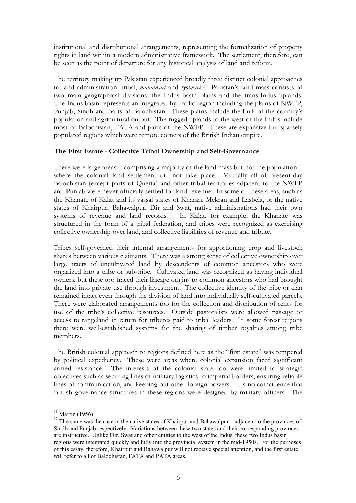institutional and distributional arrangements, representing the formalization of property rights in land within a modern administrative framework. The settlement, therefore, can be seen as the point of departure for any historical analysis of land and reform.

The territory making up Pakistan experienced broadly three distinct colonial approaches to land administration: tribal, *mahalwari* and *ryotwari*.11 Pakistan's land mass consists of two main geographical divisions: the Indus basin plains and the trans-Indus uplands. The Indus basin represents an integrated hydraulic region including the plains of NWFP, Punjab, Sindh and parts of Balochistan. These plains include the bulk of the country's population and agricultural output. The rugged uplands to the west of the Indus include most of Balochistan, FATA and parts of the NWFP. These are expansive but sparsely populated regions which were remote corners of the British Indian empire.

### **The First Estate - Collective Tribal Ownership and Self-Governance**

There were large areas – comprising a majority of the land mass but not the population – where the colonial land settlement did not take place. Virtually all of present-day Balochistan (except parts of Quetta) and other tribal territories adjacent to the NWFP and Punjab were never officially settled for land revenue. In some of these areas, such as the Khanate of Kalat and its vassal states of Kharan, Mekran and Lasbela, or the native states of Khairpur, Bahawalpur, Dir and Swat, native administrations had their own systems of revenue and land records.12 In Kalat, for example, the Khanate was structured in the form of a tribal federation, and tribes were recognized as exercising collective ownership over land, and collective liabilities of revenue and tribute.

Tribes self-governed their internal arrangements for apportioning crop and livestock shares between various claimants. There was a strong sense of collective ownership over large tracts of uncultivated land by descendents of common ancestors who were organized into a tribe or sub-tribe. Cultivated land was recognized as having individual owners, but these too traced their lineage origins to common ancestors who had brought the land into private use through investment. The collective identity of the tribe or clan remained intact even through the division of land into individually self-cultivated parcels. There were elaborated arrangements too for the collection and distribution of rents for use of the tribe's collective resources. Outside pastoralists were allowed passage or access to rangeland in return for tributes paid to tribal leaders. In some forest regions there were well-established systems for the sharing of timber royalties among tribe members.

The British colonial approach to regions defined here as the "first estate" was tempered by political expediency. These were areas where colonial expansion faced significant armed resistance. The interests of the colonial state too were limited to strategic objectives such as securing lines of military logistics to imperial borders, ensuring reliable lines of communication, and keeping out other foreign powers. It is no coincidence that British governance structures in these regions were designed by military officers. The

 $11$  Martin (1956)

<sup>&</sup>lt;sup>12</sup> The same was the case in the native states of Khairpur and Bahawalpur – adjacent to the provinces of Sindh and Punjab respectively. Variations between these two states and their corresponding provinces are instructive. Unlike Dir, Swat and other entities to the west of the Indus, these two Indus basin regions were integrated quickly and fully into the provincial system in the mid-1950s. For the purposes of this essay, therefore, Khairpur and Bahawalpur will not receive special attention, and the first estate will refer to all of Balochistan, FATA and PATA areas.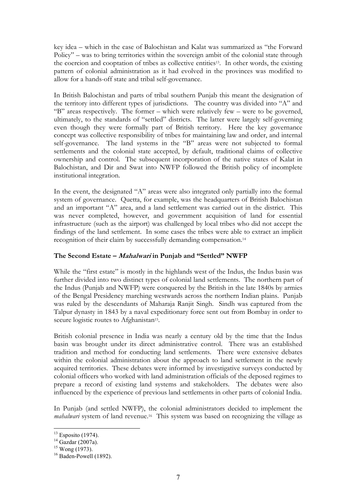key idea – which in the case of Balochistan and Kalat was summarized as "the Forward Policy" – was to bring territories within the sovereign ambit of the colonial state through the coercion and cooptation of tribes as collective entities13. In other words, the existing pattern of colonial administration as it had evolved in the provinces was modified to allow for a hands-off state and tribal self-governance.

In British Balochistan and parts of tribal southern Punjab this meant the designation of the territory into different types of jurisdictions. The country was divided into "A" and "B" areas respectively. The former – which were relatively few – were to be governed, ultimately, to the standards of "settled" districts. The latter were largely self-governing even though they were formally part of British territory. Here the key governance concept was collective responsibility of tribes for maintaining law and order, and internal self-governance. The land systems in the "B" areas were not subjected to formal settlements and the colonial state accepted, by default, traditional claims of collective ownership and control. The subsequent incorporation of the native states of Kalat in Balochistan, and Dir and Swat into NWFP followed the British policy of incomplete institutional integration.

In the event, the designated "A" areas were also integrated only partially into the formal system of governance. Quetta, for example, was the headquarters of British Balochistan and an important "A" area, and a land settlement was carried out in the district. This was never completed, however, and government acquisition of land for essential infrastructure (such as the airport) was challenged by local tribes who did not accept the findings of the land settlement. In some cases the tribes were able to extract an implicit recognition of their claim by successfully demanding compensation.14

# **The Second Estate – Mahalwari in Punjab and "Settled" NWFP**

While the "first estate" is mostly in the highlands west of the Indus, the Indus basin was further divided into two distinct types of colonial land settlements. The northern part of the Indus (Punjab and NWFP) were conquered by the British in the late 1840s by armies of the Bengal Presidency marching westwards across the northern Indian plains. Punjab was ruled by the descendants of Maharaja Ranjit Singh. Sindh was captured from the Talpur dynasty in 1843 by a naval expeditionary force sent out from Bombay in order to secure logistic routes to Afghanistan<sup>15</sup>.

British colonial presence in India was nearly a century old by the time that the Indus basin was brought under its direct administrative control. There was an established tradition and method for conducting land settlements. There were extensive debates within the colonial administration about the approach to land settlement in the newly acquired territories. These debates were informed by investigative surveys conducted by colonial officers who worked with land administration officials of the deposed regimes to prepare a record of existing land systems and stakeholders. The debates were also influenced by the experience of previous land settlements in other parts of colonial India.

In Punjab (and settled NWFP), the colonial administrators decided to implement the *mahalwari* system of land revenue.<sup>16</sup> This system was based on recognizing the village as

 $13$  Esposito (1974).

 $14$  Gazdar (2007a).

<sup>&</sup>lt;sup>15</sup> Wong (1973).

 $16$  Baden-Powell (1892).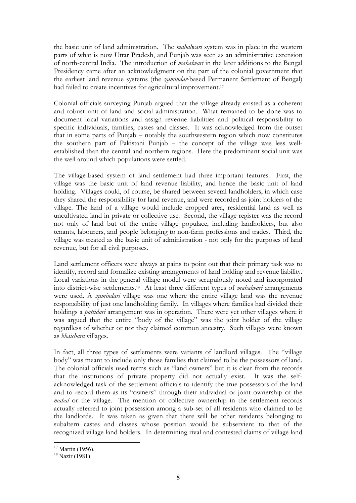the basic unit of land administration. The *mahalwari* system was in place in the western parts of what is now Uttar Pradesh, and Punjab was seen as an administrative extension of north-central India. The introduction of *mahalwari* in the later additions to the Bengal Presidency came after an acknowledgment on the part of the colonial government that the earliest land revenue systems (the *zamindar*-based Permanent Settlement of Bengal) had failed to create incentives for agricultural improvement.<sup>17</sup>

Colonial officials surveying Punjab argued that the village already existed as a coherent and robust unit of land and social administration. What remained to be done was to document local variations and assign revenue liabilities and political responsibility to specific individuals, families, castes and classes. It was acknowledged from the outset that in some parts of Punjab – notably the southwestern region which now constitutes the southern part of Pakistani Punjab – the concept of the village was less wellestablished than the central and northern regions. Here the predominant social unit was the well around which populations were settled.

The village-based system of land settlement had three important features. First, the village was the basic unit of land revenue liability, and hence the basic unit of land holding. Villages could, of course, be shared between several landholders, in which case they shared the responsibility for land revenue, and were recorded as joint holders of the village. The land of a village would include cropped area, residential land as well as uncultivated land in private or collective use. Second, the village register was the record not only of land but of the entire village populace, including landholders, but also tenants, labourers, and people belonging to non-farm professions and trades. Third, the village was treated as the basic unit of administration - not only for the purposes of land revenue, but for all civil purposes.

Land settlement officers were always at pains to point out that their primary task was to identify, record and formalize existing arrangements of land holding and revenue liability. Local variations in the general village model were scrupulously noted and incorporated into district-wise settlements.18 At least three different types of *mahalwari* arrangements were used. A *zamindari* village was one where the entire village land was the revenue responsibility of just one landholding family. In villages where families had divided their holdings a *pattidari* arrangement was in operation. There were yet other villages where it was argued that the entire "body of the village" was the joint holder of the village regardless of whether or not they claimed common ancestry. Such villages were known as *bhaichara* villages.

In fact, all three types of settlements were variants of landlord villages. The "village body" was meant to include only those families that claimed to be the possessors of land. The colonial officials used terms such as "land owners" but it is clear from the records that the institutions of private property did not actually exist. It was the selfacknowledged task of the settlement officials to identify the true possessors of the land and to record them as its "owners" through their individual or joint ownership of the *mahal* or the village. The mention of collective ownership in the settlement records actually referred to joint possession among a sub-set of all residents who claimed to be the landlords. It was taken as given that there will be other residents belonging to subaltern castes and classes whose position would be subservient to that of the recognized village land holders. In determining rival and contested claims of village land

 $17$  Martin (1956).

<sup>18</sup> Nazir (1981)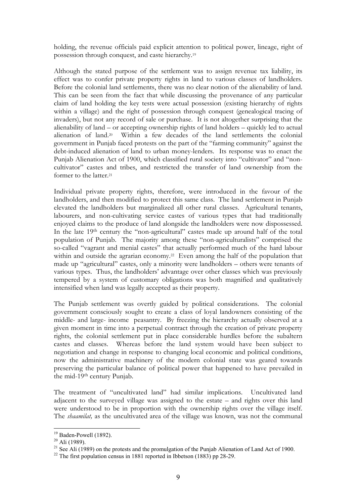holding, the revenue officials paid explicit attention to political power, lineage, right of possession through conquest, and caste hierarchy.19

Although the stated purpose of the settlement was to assign revenue tax liability, its effect was to confer private property rights in land to various classes of landholders. Before the colonial land settlements, there was no clear notion of the alienability of land. This can be seen from the fact that while discussing the provenance of any particular claim of land holding the key tests were actual possession (existing hierarchy of rights within a village) and the right of possession through conquest (genealogical tracing of invaders), but not any record of sale or purchase. It is not altogether surprising that the alienability of land – or accepting ownership rights of land holders – quickly led to actual alienation of land.20 Within a few decades of the land settlements the colonial government in Punjab faced protests on the part of the "farming community" against the debt-induced alienation of land to urban money-lenders. Its response was to enact the Punjab Alienation Act of 1900, which classified rural society into "cultivator" and "noncultivator" castes and tribes, and restricted the transfer of land ownership from the former to the latter.21

Individual private property rights, therefore, were introduced in the favour of the landholders, and then modified to protect this same class. The land settlement in Punjab elevated the landholders but marginalized all other rural classes. Agricultural tenants, labourers, and non-cultivating service castes of various types that had traditionally enjoyed claims to the produce of land alongside the landholders were now dispossessed. In the late 19th century the "non-agricultural" castes made up around half of the total population of Punjab. The majority among these "non-agriculturalists" comprised the so-called "vagrant and menial castes" that actually performed much of the hard labour within and outside the agrarian economy.<sup>22</sup> Even among the half of the population that made up "agricultural" castes, only a minority were landholders – others were tenants of various types. Thus, the landholders' advantage over other classes which was previously tempered by a system of customary obligations was both magnified and qualitatively intensified when land was legally accepted as their property.

The Punjab settlement was overtly guided by political considerations. The colonial government consciously sought to create a class of loyal landowners consisting of the middle- and large- income peasantry. By freezing the hierarchy actually observed at a given moment in time into a perpetual contract through the creation of private property rights, the colonial settlement put in place considerable hurdles before the subaltern castes and classes. Whereas before the land system would have been subject to negotiation and change in response to changing local economic and political conditions, now the administrative machinery of the modern colonial state was geared towards preserving the particular balance of political power that happened to have prevailed in the mid-19th century Punjab.

The treatment of "uncultivated land" had similar implications. Uncultivated land adjacent to the surveyed village was assigned to the estate – and rights over this land were understood to be in proportion with the ownership rights over the village itself. The *shaamilat,* as the uncultivated area of the village was known, was not the communal

<sup>&</sup>lt;sup>19</sup> Baden-Powell (1892).

<sup>20</sup> Ali (1989).

<sup>&</sup>lt;sup>21</sup> See Ali (1989) on the protests and the promulgation of the Punjab Alienation of Land Act of 1900.

 $22$  The first population census in 1881 reported in Ibbetson (1883) pp 28-29.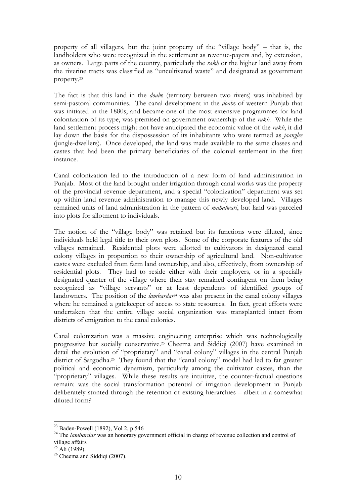property of all villagers, but the joint property of the "village body" – that is, the landholders who were recognized in the settlement as revenue-payers and, by extension, as owners. Large parts of the country, particularly the *rakh* or the higher land away from the riverine tracts was classified as "uncultivated waste" and designated as government property.23

The fact is that this land in the *doab*s (territory between two rivers) was inhabited by semi-pastoral communities. The canal development in the *doab*s of western Punjab that was initiated in the 1880s, and became one of the most extensive programmes for land colonization of its type, was premised on government ownership of the *rakh.* While the land settlement process might not have anticipated the economic value of the *rakh*, it did lay down the basis for the dispossession of its inhabitants who were termed as *jaanglee* (jungle-dwellers). Once developed, the land was made available to the same classes and castes that had been the primary beneficiaries of the colonial settlement in the first instance.

Canal colonization led to the introduction of a new form of land administration in Punjab. Most of the land brought under irrigation through canal works was the property of the provincial revenue department, and a special "colonization" department was set up within land revenue administration to manage this newly developed land. Villages remained units of land administration in the pattern of *mahalwari*, but land was parceled into plots for allotment to individuals.

The notion of the "village body" was retained but its functions were diluted, since individuals held legal title to their own plots. Some of the corporate features of the old villages remained. Residential plots were allotted to cultivators in designated canal colony villages in proportion to their ownership of agricultural land. Non-cultivator castes were excluded from farm land ownership, and also, effectively, from ownership of residential plots. They had to reside either with their employers, or in a specially designated quarter of the village where their stay remained contingent on them being recognized as "village servants" or at least dependents of identified groups of landowners. The position of the *lambardar<sup>24</sup>* was also present in the canal colony villages where he remained a gatekeeper of access to state resources. In fact, great efforts were undertaken that the entire village social organization was transplanted intact from districts of emigration to the canal colonies.

Canal colonization was a massive engineering enterprise which was technologically progressive but socially conservative.25 Cheema and Siddiqi (2007) have examined in detail the evolution of "proprietary" and "canal colony" villages in the central Punjab district of Sargodha.<sup>26</sup> They found that the "canal colony" model had led to far greater political and economic dynamism, particularly among the cultivator castes, than the "proprietary" villages. While these results are intuitive, the counter-factual questions remain: was the social transformation potential of irrigation development in Punjab deliberately stunted through the retention of existing hierarchies – albeit in a somewhat diluted form?

<sup>23</sup> Baden-Powell (1892), Vol 2, p 546

<sup>&</sup>lt;sup>24</sup> The *lambardar* was an honorary government official in charge of revenue collection and control of village affairs

 $25$  Ali (1989).

<sup>&</sup>lt;sup>26</sup> Cheema and Siddiqi (2007).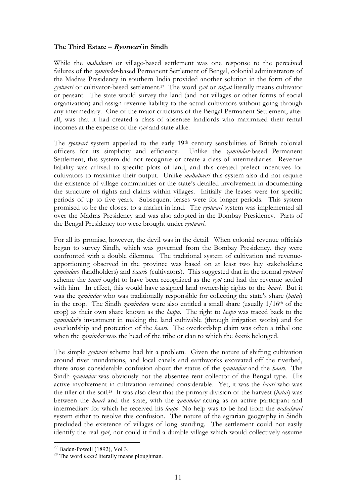#### **The Third Estate – Ryotwari in Sindh**

While the *mahalwari* or village-based settlement was one response to the perceived failures of the *zamindar*-based Permanent Settlement of Bengal, colonial administrators of the Madras Presidency in southern India provided another solution in the form of the *ryotwari* or cultivator-based settlement.27 The word *ryot* or *raiyat* literally means cultivator or peasant. The state would survey the land (and not villages or other forms of social organization) and assign revenue liability to the actual cultivators without going through any intermediary. One of the major criticisms of the Bengal Permanent Settlement, after all, was that it had created a class of absentee landlords who maximized their rental incomes at the expense of the *ryot* and state alike.

The *ryotwari* system appealed to the early 19th century sensibilities of British colonial officers for its simplicity and efficiency. Unlike the *zamindar*-based Permanent Settlement, this system did not recognize or create a class of intermediaries. Revenue liability was affixed to specific plots of land, and this created prefect incentives for cultivators to maximize their output. Unlike *mahalwari* this system also did not require the existence of village communities or the state's detailed involvement in documenting the structure of rights and claims within villages. Initially the leases were for specific periods of up to five years. Subsequent leases were for longer periods. This system promised to be the closest to a market in land. The *ryotwari* system was implemented all over the Madras Presidency and was also adopted in the Bombay Presidency. Parts of the Bengal Presidency too were brought under *ryotwari*.

For all its promise, however, the devil was in the detail. When colonial revenue officials began to survey Sindh, which was governed from the Bombay Presidency, they were confronted with a double dilemma. The traditional system of cultivation and revenueapportioning observed in the province was based on at least two key stakeholders: *zamindar*s (landholders) and *haari*s (cultivators). This suggested that in the normal *ryotwari* scheme the *haari* ought to have been recognized as the *ryot* and had the revenue settled with him. In effect, this would have assigned land ownership rights to the *haari*. But it was the *zamindar* who was traditionally responsible for collecting the state's share (*batai*) in the crop. The Sindh *zamindar*s were also entitled a small share (usually 1/16th of the crop) as their own share known as the *laapo*. The right to *laapo* was traced back to the *zamindar*'s investment in making the land cultivable (through irrigation works) and for overlordship and protection of the *haari*. The overlordship claim was often a tribal one when the *zamindar* was the head of the tribe or clan to which the *haari*s belonged.

The simple *ryotwari* scheme had hit a problem. Given the nature of shifting cultivation around river inundations, and local canals and earthworks excavated off the riverbed, there arose considerable confusion about the status of the *zamindar* and the *haari*. The Sindh *zamindar* was obviously not the absentee rent collector of the Bengal type. His active involvement in cultivation remained considerable. Yet, it was the *haari* who was the tiller of the soil.28 It was also clear that the primary division of the harvest (*batai*) was between the *haari* and the state, with the *zamindar* acting as an active participant and intermediary for which he received his *laapo*. No help was to be had from the *mahalwari* system either to resolve this confusion. The nature of the agrarian geography in Sindh precluded the existence of villages of long standing. The settlement could not easily identify the real *ryot*, nor could it find a durable village which would collectively assume

 $27$  Baden-Powell (1892), Vol 3.

<sup>28</sup> The word *haari* literally means ploughman.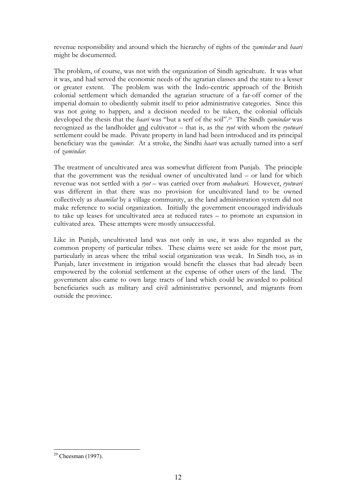revenue responsibility and around which the hierarchy of rights of the *zamindar* and *haari* might be documented.

The problem, of course, was not with the organization of Sindh agriculture. It was what it was, and had served the economic needs of the agrarian classes and the state to a lesser or greater extent. The problem was with the Indo-centric approach of the British colonial settlement which demanded the agrarian structure of a far-off corner of the imperial domain to obediently submit itself to prior administrative categories. Since this was not going to happen, and a decision needed to be taken, the colonial officials developed the thesis that the *haari* was "but a serf of the soil".29 The Sindh *zamindar* was recognized as the landholder and cultivator – that is, as the *ryot* with whom the *ryotwari* settlement could be made. Private property in land had been introduced and its principal beneficiary was the *zamindar*. At a stroke, the Sindhi *haari* was actually turned into a serf of *zamindar*.

The treatment of uncultivated area was somewhat different from Punjab. The principle that the government was the residual owner of uncultivated land – or land for which revenue was not settled with a *ryot* – was carried over from *mahalwari*. However, *ryotwari* was different in that there was no provision for uncultivated land to be owned collectively as *shaamilat* by a village community, as the land administration system did not make reference to social organization. Initially the government encouraged individuals to take up leases for uncultivated area at reduced rates – to promote an expansion in cultivated area. These attempts were mostly unsuccessful.

Like in Punjab, uncultivated land was not only in use, it was also regarded as the common property of particular tribes. These claims were set aside for the most part, particularly in areas where the tribal social organization was weak. In Sindh too, as in Punjab, later investment in irrigation would benefit the classes that had already been empowered by the colonial settlement at the expense of other users of the land. The government also came to own large tracts of land which could be awarded to political beneficiaries such as military and civil administrative personnel, and migrants from outside the province.

 $29$  Cheesman (1997).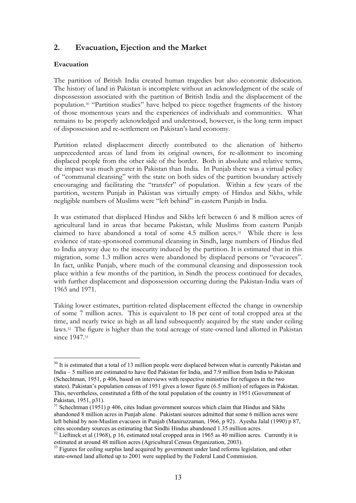# **2. Evacuation, Ejection and the Market**

#### **Evacuation**

The partition of British India created human tragedies but also economic dislocation. The history of land in Pakistan is incomplete without an acknowledgment of the scale of dispossession associated with the partition of British India and the displacement of the population.30 "Partition studies" have helped to piece together fragments of the history of those momentous years and the experiences of individuals and communities. What remains to be properly acknowledged and understood, however, is the long term impact of dispossession and re-settlement on Pakistan's land economy.

Partition related displacement directly contributed to the alienation of hitherto unprecedented areas of land from its original owners, for re-allotment to incoming displaced people from the other side of the border. Both in absolute and relative terms, the impact was much greater in Pakistan than India. In Punjab there was a virtual policy of "communal cleansing" with the state on both sides of the partition boundary actively encouraging and facilitating the "transfer" of population. Within a few years of the partition, western Punjab in Pakistan was virtually empty of Hindus and Sikhs, while negligible numbers of Muslims were "left behind" in eastern Punjab in India.

It was estimated that displaced Hindus and Sikhs left between 6 and 8 million acres of agricultural land in areas that became Pakistan, while Muslims from eastern Punjab claimed to have abandoned a total of some 4.5 million acres.31 While there is less evidence of state-sponsored communal cleansing in Sindh, large numbers of Hindus fled to India anyway due to the insecurity induced by the partition. It is estimated that in this migration, some 1.3 million acres were abandoned by displaced persons or "evacuees". In fact, unlike Punjab, where much of the communal cleansing and dispossession took place within a few months of the partition, in Sindh the process continued for decades, with further displacement and dispossession occurring during the Pakistan-India wars of 1965 and 1971.

Taking lower estimates, partition-related displacement effected the change in ownership of some 7 million acres. This is equivalent to 18 per cent of total cropped area at the time, and nearly twice as high as all land subsequently acquired by the state under ceiling laws.32 The figure is higher than the total acreage of state-owned land allotted in Pakistan since 1947.33

 $30$  It is estimated that a total of 13 million people were displaced between what is currently Pakistan and India – 5 million are estimated to have fled Pakistan for India, and 7.9 million from India to Pakistan (Schechtman, 1951, p 406, based on interviews with respective ministries for refugees in the two states). Pakistan's population census of 1951 gives a lower figure (6.5 million) of refugees in Pakistan. This, nevertheless, constituted a fifth of the total population of the country in 1951 (Government of Pakistan, 1951, p31).

 $31$  Schechtman (1951) p 406, cites Indian government sources which claim that Hindus and Sikhs abandoned 8 million acres in Punjab alone. Pakistani sources admitted that some 6 million acres were left behind by non-Muslim evacuees in Punjab (Maniruzzaman, 1966, p 92). Ayesha Jalal (1990) p 87, cites secondary sources as estimating that Sindhi Hindus abandoned 1.35 million acres.

<sup>&</sup>lt;sup>32</sup> Lieftinck et al (1968), p 16, estimated total cropped area in 1965 as 40 million acres. Currently it is estimated at around 48 million acres (Agricultural Census Organization, 2003).

<sup>&</sup>lt;sup>33</sup> Figures for ceiling surplus land acquired by government under land reforms legislation, and other state-owned land allotted up to 2001 were supplied by the Federal Land Commission.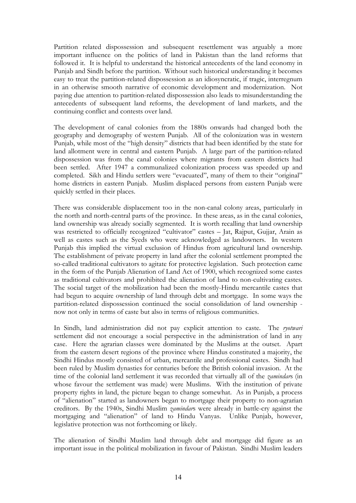Partition related dispossession and subsequent resettlement was arguably a more important influence on the politics of land in Pakistan than the land reforms that followed it. It is helpful to understand the historical antecedents of the land economy in Punjab and Sindh before the partition. Without such historical understanding it becomes easy to treat the partition-related dispossession as an idiosyncratic, if tragic, interregnum in an otherwise smooth narrative of economic development and modernization. Not paying due attention to partition-related dispossession also leads to misunderstanding the antecedents of subsequent land reforms, the development of land markets, and the continuing conflict and contests over land.

The development of canal colonies from the 1880s onwards had changed both the geography and demography of western Punjab. All of the colonization was in western Punjab, while most of the "high density" districts that had been identified by the state for land allotment were in central and eastern Punjab. A large part of the partition-related dispossession was from the canal colonies where migrants from eastern districts had been settled. After 1947 a communalized colonization process was speeded up and completed. Sikh and Hindu settlers were "evacuated", many of them to their "original" home districts in eastern Punjab. Muslim displaced persons from eastern Punjab were quickly settled in their places.

There was considerable displacement too in the non-canal colony areas, particularly in the north and north-central parts of the province. In these areas, as in the canal colonies, land ownership was already socially segmented. It is worth recalling that land ownership was restricted to officially recognized "cultivator" castes - Jat, Rajput, Gujjar, Arain as well as castes such as the Syeds who were acknowledged as landowners. In western Punjab this implied the virtual exclusion of Hindus from agricultural land ownership. The establishment of private property in land after the colonial settlement prompted the so-called traditional cultivators to agitate for protective legislation. Such protection came in the form of the Punjab Alienation of Land Act of 1900, which recognized some castes as traditional cultivators and prohibited the alienation of land to non-cultivating castes. The social target of the mobilization had been the mostly-Hindu mercantile castes that had begun to acquire ownership of land through debt and mortgage. In some ways the partition-related dispossession continued the social consolidation of land ownership now not only in terms of caste but also in terms of religious communities.

In Sindh, land administration did not pay explicit attention to caste. The *ryotwari* settlement did not encourage a social perspective in the administration of land in any case. Here the agrarian classes were dominated by the Muslims at the outset. Apart from the eastern desert regions of the province where Hindus constituted a majority, the Sindhi Hindus mostly consisted of urban, mercantile and professional castes. Sindh had been ruled by Muslim dynasties for centuries before the British colonial invasion. At the time of the colonial land settlement it was recorded that virtually all of the *zamindar*s (in whose favour the settlement was made) were Muslims. With the institution of private property rights in land, the picture began to change somewhat. As in Punjab, a process of "alienation" started as landowners began to mortgage their property to non-agrarian creditors. By the 1940s, Sindhi Muslim *zamindar*s were already in battle-cry against the mortgaging and "alienation" of land to Hindu Vanyas. Unlike Punjab, however, legislative protection was not forthcoming or likely.

The alienation of Sindhi Muslim land through debt and mortgage did figure as an important issue in the political mobilization in favour of Pakistan. Sindhi Muslim leaders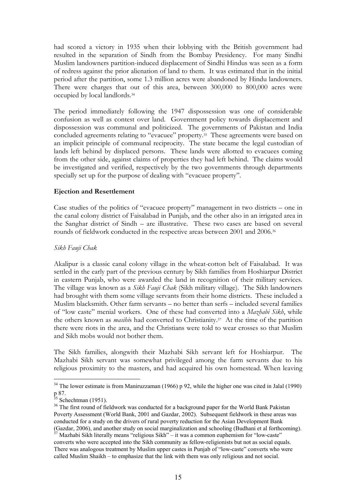had scored a victory in 1935 when their lobbying with the British government had resulted in the separation of Sindh from the Bombay Presidency. For many Sindhi Muslim landowners partition-induced displacement of Sindhi Hindus was seen as a form of redress against the prior alienation of land to them. It was estimated that in the initial period after the partition, some 1.3 million acres were abandoned by Hindu landowners. There were charges that out of this area, between 300,000 to 800,000 acres were occupied by local landlords.34

The period immediately following the 1947 dispossession was one of considerable confusion as well as contest over land. Government policy towards displacement and dispossession was communal and politicized. The governments of Pakistan and India concluded agreements relating to "evacuee" property.35 These agreements were based on an implicit principle of communal reciprocity. The state became the legal custodian of lands left behind by displaced persons. These lands were allotted to evacuees coming from the other side, against claims of properties they had left behind. The claims would be investigated and verified, respectively by the two governments through departments specially set up for the purpose of dealing with "evacuee property".

### **Ejection and Resettlement**

Case studies of the politics of "evacuee property" management in two districts – one in the canal colony district of Faisalabad in Punjab, and the other also in an irrigated area in the Sanghar district of Sindh – are illustrative. These two cases are based on several rounds of fieldwork conducted in the respective areas between 2001 and 2006.36

#### *Sikh Fauji Chak*

Akalipur is a classic canal colony village in the wheat-cotton belt of Faisalabad. It was settled in the early part of the previous century by Sikh families from Hoshiarpur District in eastern Punjab, who were awarded the land in recognition of their military services. The village was known as a *Sikh Fauji Chak* (Sikh military village). The Sikh landowners had brought with them some village servants from their home districts. These included a Muslim blacksmith. Other farm servants – no better than serfs – included several families of "low caste" menial workers. One of these had converted into a *Mazhabi Sikh*, while the others known as *masihi*s had converted to Christianity.37 At the time of the partition there were riots in the area, and the Christians were told to wear crosses so that Muslim and Sikh mobs would not bother them.

The Sikh families, alongwith their Mazhabi Sikh servant left for Hoshiarpur. The Mazhabi Sikh servant was somewhat privileged among the farm servants due to his religious proximity to the masters, and had acquired his own homestead. When leaving

<sup>&</sup>lt;sup>34</sup> The lower estimate is from Maniruzzaman (1966) p 92, while the higher one was cited in Jalal (1990) p 87.<br><sup>35</sup> Schechtman (1951).

<sup>&</sup>lt;sup>36</sup> The first round of fieldwork was conducted for a background paper for the World Bank Pakistan Poverty Assessment (World Bank, 2001 and Gazdar, 2002). Subsequent fieldwork in these areas was conducted for a study on the drivers of rural poverty reduction for the Asian Development Bank (Gazdar, 2006), and another study on social marginalization and schooling (Budhani et al forthcoming).

<sup>37</sup> Mazhabi Sikh literally means "religious Sikh" – it was a common euphemism for "low-caste" converts who were accepted into the Sikh community as fellow-religionists but not as social equals. There was analogous treatment by Muslim upper castes in Punjab of "low-caste" converts who were called Muslim Shaikh – to emphasize that the link with them was only religious and not social.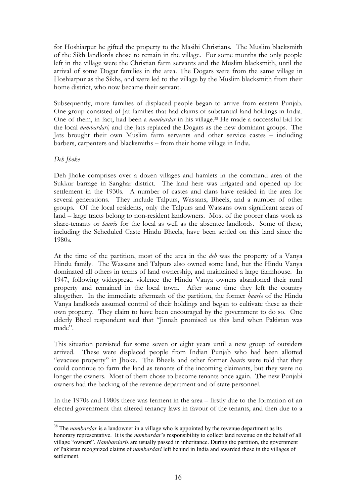for Hoshiarpur he gifted the property to the Masihi Christians. The Muslim blacksmith of the Sikh landlords chose to remain in the village. For some months the only people left in the village were the Christian farm servants and the Muslim blacksmith, until the arrival of some Dogar families in the area. The Dogars were from the same village in Hoshiarpur as the Sikhs, and were led to the village by the Muslim blacksmith from their home district, who now became their servant.

Subsequently, more families of displaced people began to arrive from eastern Punjab. One group consisted of Jat families that had claims of substantial land holdings in India. One of them, in fact, had been a *nambardar* in his village.38 He made a successful bid for the local *nambardari,* and the Jats replaced the Dogars as the new dominant groups. The Jats brought their own Muslim farm servants and other service castes – including barbers, carpenters and blacksmiths – from their home village in India.

### *Deh Jhoke*

Deh Jhoke comprises over a dozen villages and hamlets in the command area of the Sukkur barrage in Sanghar district. The land here was irrigated and opened up for settlement in the 1930s. A number of castes and clans have resided in the area for several generations. They include Talpurs, Wassans, Bheels, and a number of other groups. Of the local residents, only the Talpurs and Wassans own significant areas of land – large tracts belong to non-resident landowners. Most of the poorer clans work as share-tenants or *haari*s for the local as well as the absentee landlords. Some of these, including the Scheduled Caste Hindu Bheels, have been settled on this land since the 1980s.

At the time of the partition, most of the area in the *deh* was the property of a Vanya Hindu family. The Wassans and Talpurs also owned some land, but the Hindu Vanya dominated all others in terms of land ownership, and maintained a large farmhouse. In 1947, following widespread violence the Hindu Vanya owners abandoned their rural property and remained in the local town. After some time they left the country altogether. In the immediate aftermath of the partition, the former *haari*s of the Hindu Vanya landlords assumed control of their holdings and began to cultivate these as their own property. They claim to have been encouraged by the government to do so. One elderly Bheel respondent said that "Jinnah promised us this land when Pakistan was made".

This situation persisted for some seven or eight years until a new group of outsiders arrived. These were displaced people from Indian Punjab who had been allotted "evacuee property" in Jhoke. The Bheels and other former *haari*s were told that they could continue to farm the land as tenants of the incoming claimants, but they were no longer the owners. Most of them chose to become tenants once again. The new Punjabi owners had the backing of the revenue department and of state personnel.

In the 1970s and 1980s there was ferment in the area – firstly due to the formation of an elected government that altered tenancy laws in favour of the tenants, and then due to a

<sup>&</sup>lt;sup>38</sup> The *nambardar* is a landowner in a village who is appointed by the revenue department as its honorary representative. It is the *nambardar*'s responsibility to collect land revenue on the behalf of all village "owners". *Nambardari*s are usually passed in inheritance. During the partition, the government of Pakistan recognized claims of *nambardari* left behind in India and awarded these in the villages of settlement.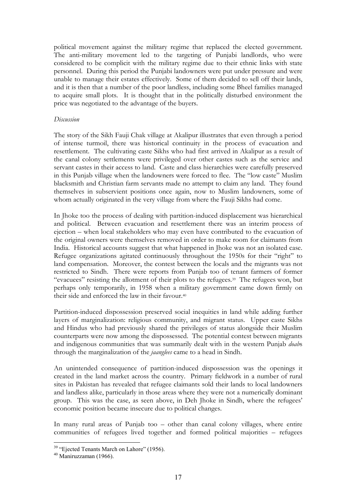political movement against the military regime that replaced the elected government. The anti-military movement led to the targeting of Punjabi landlords, who were considered to be complicit with the military regime due to their ethnic links with state personnel. During this period the Punjabi landowners were put under pressure and were unable to manage their estates effectively. Some of them decided to sell off their lands, and it is then that a number of the poor landless, including some Bheel families managed to acquire small plots. It is thought that in the politically disturbed environment the price was negotiated to the advantage of the buyers.

#### *Discussion*

The story of the Sikh Fauji Chak village at Akalipur illustrates that even through a period of intense turmoil, there was historical continuity in the process of evacuation and resettlement. The cultivating caste Sikhs who had first arrived in Akalipur as a result of the canal colony settlements were privileged over other castes such as the service and servant castes in their access to land. Caste and class hierarchies were carefully preserved in this Punjab village when the landowners were forced to flee. The "low caste" Muslim blacksmith and Christian farm servants made no attempt to claim any land. They found themselves in subservient positions once again, now to Muslim landowners, some of whom actually originated in the very village from where the Fauji Sikhs had come.

In Jhoke too the process of dealing with partition-induced displacement was hierarchical and political. Between evacuation and resettlement there was an interim process of ejection – when local stakeholders who may even have contributed to the evacuation of the original owners were themselves removed in order to make room for claimants from India. Historical accounts suggest that what happened in Jhoke was not an isolated case. Refugee organizations agitated continuously throughout the 1950s for their "right" to land compensation. Moreover, the contest between the locals and the migrants was not restricted to Sindh. There were reports from Punjab too of tenant farmers of former "evacuees" resisting the allotment of their plots to the refugees.39 The refugees won, but perhaps only temporarily, in 1958 when a military government came down firmly on their side and enforced the law in their favour.40

Partition-induced dispossession preserved social inequities in land while adding further layers of marginalization: religious community, and migrant status. Upper caste Sikhs and Hindus who had previously shared the privileges of status alongside their Muslim counterparts were now among the dispossessed. The potential contest between migrants and indigenous communities that was summarily dealt with in the western Punjab *doab*s through the marginalization of the *jaanglees* came to a head in Sindh.

An unintended consequence of partition-induced dispossession was the openings it created in the land market across the country. Primary fieldwork in a number of rural sites in Pakistan has revealed that refugee claimants sold their lands to local landowners and landless alike, particularly in those areas where they were not a numerically dominant group. This was the case, as seen above, in Deh Jhoke in Sindh, where the refugees' economic position became insecure due to political changes.

In many rural areas of Punjab too – other than canal colony villages, where entire communities of refugees lived together and formed political majorities – refugees

<sup>&</sup>lt;sup>39</sup> "Ejected Tenants March on Lahore" (1956).

 $40$  Maniruzzaman (1966).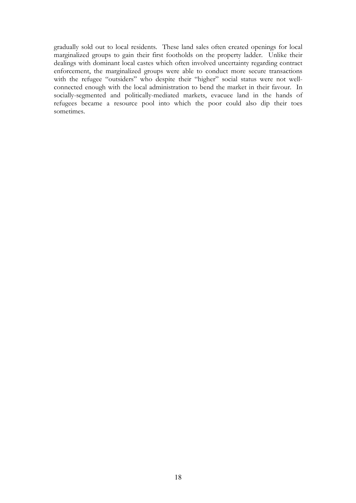gradually sold out to local residents. These land sales often created openings for local marginalized groups to gain their first footholds on the property ladder. Unlike their dealings with dominant local castes which often involved uncertainty regarding contract enforcement, the marginalized groups were able to conduct more secure transactions with the refugee "outsiders" who despite their "higher" social status were not wellconnected enough with the local administration to bend the market in their favour. In socially-segmented and politically-mediated markets, evacuee land in the hands of refugees became a resource pool into which the poor could also dip their toes sometimes.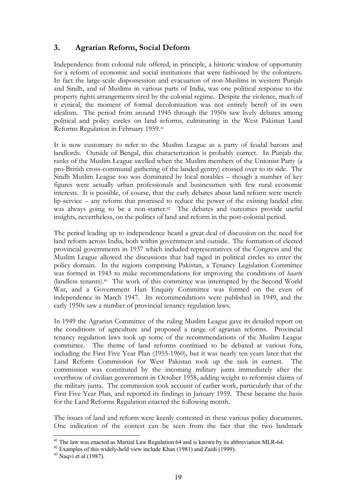# **3. Agrarian Reform, Social Deform**

Independence from colonial rule offered, in principle, a historic window of opportunity for a reform of economic and social institutions that were fashioned by the colonizers. In fact the large-scale dispossession and evacuation of non-Muslims in western Punjab and Sindh, and of Muslims in various parts of India, was one political response to the property rights arrangements sired by the colonial regime. Despite the violence, much of it cynical, the moment of formal decolonization was not entirely bereft of its own idealism. The period from around 1945 through the 1950s saw lively debates among political and policy circles on land reforms, culminating in the West Pakistan Land Reforms Regulation in February 1959.41

It is now customary to refer to the Muslim League as a party of feudal barons and landlords. Outside of Bengal, this characterization is probably correct. In Punjab the ranks of the Muslim League swelled when the Muslim members of the Unionist Party (a pro-British cross-communal gathering of the landed gentry) crossed over to its side. The Sindh Muslim League too was dominated by local notables – though a number of key figures were actually urban professionals and businessmen with few rural economic interests. It is possible, of course, that the early debates about land reform were merely lip-service – any reform that promised to reduce the power of the existing landed elite was always going to be a non-starter.<sup>42</sup> The debates and outcomes provide useful insights, nevertheless, on the politics of land and reform in the post-colonial period.

The period leading up to independence heard a great deal of discussion on the need for land reform across India, both within government and outside. The formation of elected provincial governments in 1937 which included representatives of the Congress and the Muslim League allowed the discussions that had raged in political circles to enter the policy domain. In the regions comprising Pakistan, a Tenancy Legislation Committee was formed in 1943 to make recommendations for improving the conditions of *haari*s (landless tenants).43 The work of this committee was interrupted by the Second World War, and a Government Hari Enquiry Committee was formed on the even of independence in March 1947. Its recommendations were published in 1949, and the early 1950s saw a number of provincial tenancy regulation laws.

In 1949 the Agrarian Committee of the ruling Muslim League gave its detailed report on the conditions of agriculture and proposed a range of agrarian reforms. Provincial tenancy regulation laws took up some of the recommendations of the Muslim League committee. The theme of land reforms continued to be debated at various fora, including the First Five Year Plan (1955-1960), but it was nearly ten years later that the Land Reform Commission for West Pakistan took up the task in earnest. The commission was constituted by the incoming military junta immediately after the overthrow of civilian government in October 1958, adding weight to reformist claims of the military junta. The commission took account of earlier work, particularly that of the First Five Year Plan, and reported its findings in January 1959. These became the basis for the Land Reforms Regulation enacted the following month.

The issues of land and reform were keenly contested in these various policy documents. One indication of the contest can be seen from the fact that the two landmark

<sup>&</sup>lt;sup>41</sup> The law was enacted as Martial Law Regulation 64 and is known by its abbreviation MLR-64.

<sup>&</sup>lt;sup>42</sup> Examples of this widely-held view include Khan (1981) and Zaidi (1999).

 $43$  Naqvi et al (1987).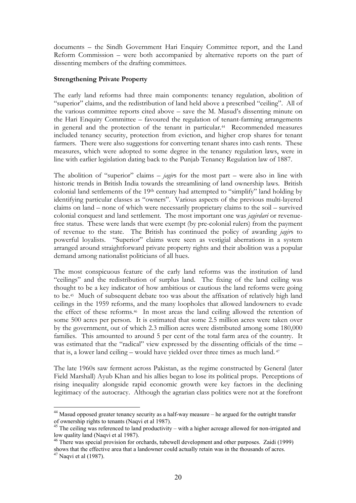documents – the Sindh Government Hari Enquiry Committee report, and the Land Reform Commission – were both accompanied by alternative reports on the part of dissenting members of the drafting committees.

### **Strengthening Private Property**

The early land reforms had three main components: tenancy regulation, abolition of "superior" claims, and the redistribution of land held above a prescribed "ceiling". All of the various committee reports cited above – save the M. Masud's dissenting minute on the Hari Enquiry Committee – favoured the regulation of tenant-farming arrangements in general and the protection of the tenant in particular.44 Recommended measures included tenancy security, protection from eviction, and higher crop shares for tenant farmers. There were also suggestions for converting tenant shares into cash rents. These measures, which were adopted to some degree in the tenancy regulation laws, were in line with earlier legislation dating back to the Punjab Tenancy Regulation law of 1887.

The abolition of "superior" claims – *jagir*s for the most part – were also in line with historic trends in British India towards the streamlining of land ownership laws. British colonial land settlements of the 19th century had attempted to "simplify" land holding by identifying particular classes as "owners". Various aspects of the previous multi-layered claims on land – none of which were necessarily proprietary claims to the soil – survived colonial conquest and land settlement. The most important one was *jagirdari* or revenuefree status. These were lands that were exempt (by pre-colonial rulers) from the payment of revenue to the state. The British has continued the policy of awarding *jagir*s to powerful loyalists. "Superior" claims were seen as vestigial aberrations in a system arranged around straightforward private property rights and their abolition was a popular demand among nationalist politicians of all hues.

The most conspicuous feature of the early land reforms was the institution of land "ceilings" and the redistribution of surplus land. The fixing of the land ceiling was thought to be a key indicator of how ambitious or cautious the land reforms were going to be.45 Much of subsequent debate too was about the affixation of relatively high land ceilings in the 1959 reforms, and the many loopholes that allowed landowners to evade the effect of these reforms.46 In most areas the land ceiling allowed the retention of some 500 acres per person. It is estimated that some 2.5 million acres were taken over by the government, out of which 2.3 million acres were distributed among some 180,000 families. This amounted to around 5 per cent of the total farm area of the country. It was estimated that the "radical" view expressed by the dissenting officials of the time – that is, a lower land ceiling – would have yielded over three times as much land. 47

The late 1960s saw ferment across Pakistan, as the regime constructed by General (later Field Marshall) Ayub Khan and his allies began to lose its political props. Perceptions of rising inequality alongside rapid economic growth were key factors in the declining legitimacy of the autocracy. Although the agrarian class politics were not at the forefront

<sup>&</sup>lt;sup>44</sup> Masud opposed greater tenancy security as a half-way measure – he argued for the outright transfer of ownership rights to tenants (Naqvi et al 1987).

 $45$  The ceiling was referenced to land productivity – with a higher acreage allowed for non-irrigated and low quality land (Naqvi et al 1987).

<sup>&</sup>lt;sup>46</sup> There was special provision for orchards, tubewell development and other purposes. Zaidi (1999) shows that the effective area that a landowner could actually retain was in the thousands of acres.

 $47$  Naqvi et al (1987).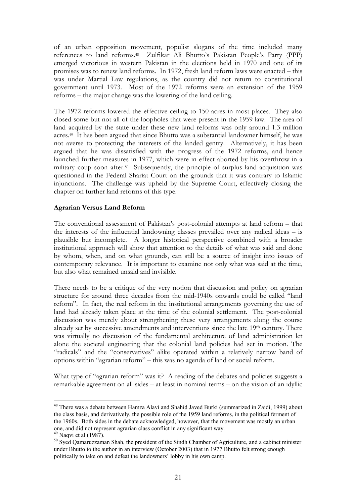of an urban opposition movement, populist slogans of the time included many references to land reforms.48 Zulfikar Ali Bhutto's Pakistan People's Party (PPP) emerged victorious in western Pakistan in the elections held in 1970 and one of its promises was to renew land reforms. In 1972, fresh land reform laws were enacted – this was under Martial Law regulations, as the country did not return to constitutional government until 1973. Most of the 1972 reforms were an extension of the 1959 reforms – the major change was the lowering of the land ceiling.

The 1972 reforms lowered the effective ceiling to 150 acres in most places. They also closed some but not all of the loopholes that were present in the 1959 law. The area of land acquired by the state under these new land reforms was only around 1.3 million acres.49 It has been argued that since Bhutto was a substantial landowner himself, he was not averse to protecting the interests of the landed gentry. Alternatively, it has been argued that he was dissatisfied with the progress of the 1972 reforms, and hence launched further measures in 1977, which were in effect aborted by his overthrow in a military coup soon after.<sup>50</sup> Subsequently, the principle of surplus land acquisition was questioned in the Federal Shariat Court on the grounds that it was contrary to Islamic injunctions. The challenge was upheld by the Supreme Court, effectively closing the chapter on further land reforms of this type.

### **Agrarian Versus Land Reform**

The conventional assessment of Pakistan's post-colonial attempts at land reform – that the interests of the influential landowning classes prevailed over any radical ideas – is plausible but incomplete. A longer historical perspective combined with a broader institutional approach will show that attention to the details of what was said and done by whom, when, and on what grounds, can still be a source of insight into issues of contemporary relevance. It is important to examine not only what was said at the time, but also what remained unsaid and invisible.

There needs to be a critique of the very notion that discussion and policy on agrarian structure for around three decades from the mid-1940s onwards could be called "land reform". In fact, the real reform in the institutional arrangements governing the use of land had already taken place at the time of the colonial settlement. The post-colonial discussion was merely about strengthening these very arrangements along the course already set by successive amendments and interventions since the late 19th century. There was virtually no discussion of the fundamental architecture of land administration let alone the societal engineering that the colonial land policies had set in motion. The "radicals" and the "conservatives" alike operated within a relatively narrow band of options within "agrarian reform" – this was no agenda of land or social reform.

What type of "agrarian reform" was it? A reading of the debates and policies suggests a remarkable agreement on all sides – at least in nominal terms – on the vision of an idyllic

<sup>48</sup> There was a debate between Hamza Alavi and Shahid Javed Burki (summarized in Zaidi, 1999) about the class basis, and derivatively, the possible role of the 1959 land reforms, in the political ferment of the 1960s. Both sides in the debate acknowledged, however, that the movement was mostly an urban one, and did not represent agrarian class conflict in any significant way.  $49$  Naqvi et al (1987).

<sup>&</sup>lt;sup>50</sup> Syed Qamaruzzaman Shah, the president of the Sindh Chamber of Agriculture, and a cabinet minister under Bhutto to the author in an interview (October 2003) that in 1977 Bhutto felt strong enough politically to take on and defeat the landowners' lobby in his own camp.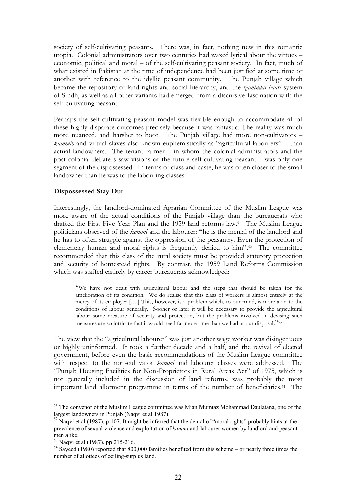society of self-cultivating peasants. There was, in fact, nothing new in this romantic utopia. Colonial administrators over two centuries had waxed lyrical about the virtues – economic, political and moral – of the self-cultivating peasant society. In fact, much of what existed in Pakistan at the time of independence had been justified at some time or another with reference to the idyllic peasant community. The Punjab village which became the repository of land rights and social hierarchy, and the *zamindar-haari* system of Sindh, as well as all other variants had emerged from a discursive fascination with the self-cultivating peasant.

Perhaps the self-cultivating peasant model was flexible enough to accommodate all of these highly disparate outcomes precisely because it was fantastic. The reality was much more nuanced, and harsher to boot. The Punjab village had more non-cultivators – *kammi*s and virtual slaves also known euphemistically as "agricultural labourers" – than actual landowners. The tenant farmer – in whom the colonial administrators and the post-colonial debaters saw visions of the future self-cultivating peasant – was only one segment of the dispossessed. In terms of class and caste, he was often closer to the small landowner than he was to the labouring classes.

#### **Dispossessed Stay Out**

Interestingly, the landlord-dominated Agrarian Committee of the Muslim League was more aware of the actual conditions of the Punjab village than the bureaucrats who drafted the First Five Year Plan and the 1959 land reforms law.51 The Muslim League politicians observed of the *kammi* and the labourer: "he is the menial of the landlord and he has to often struggle against the oppression of the peasantry. Even the protection of elementary human and moral rights is frequently denied to him".52 The committee recommended that this class of the rural society must be provided statutory protection and security of homestead rights. By contrast, the 1959 Land Reforms Commission which was staffed entirely by career bureaucrats acknowledged:

"We have not dealt with agricultural labour and the steps that should be taken for the amelioration of its condition. We do realise that this class of workers is almost entirely at the mercy of its employer [….] This, however, is a problem which, to our mind, is more akin to the conditions of labour generally. Sooner or later it will be necessary to provide the agricultural labour some measure of security and protection, but the problems involved in devising such measures are so intricate that it would need far more time than we had at our disposal."53

The view that the "agricultural labourer" was just another wage worker was disingenuous or highly uninformed. It took a further decade and a half, and the revival of elected government, before even the basic recommendations of the Muslim League committee with respect to the non-cultivator *kammi* and labourer classes were addressed. The "Punjab Housing Facilities for Non-Proprietors in Rural Areas Act" of 1975, which is not generally included in the discussion of land reforms, was probably the most important land allotment programme in terms of the number of beneficiaries.54 The

<sup>&</sup>lt;sup>51</sup> The convenor of the Muslim League committee was Mian Mumtaz Mohammad Daulatana, one of the largest landowners in Punjab (Naqvi et al 1987).

 $52$  Naqvi et al (1987), p 107. It might be inferred that the denial of "moral rights" probably hints at the prevalence of sexual violence and exploitation of *kammi* and labourer women by landlord and peasant men alike.

<sup>53</sup> Naqvi et al (1987), pp 215-216.

 $54$  Sayeed (1980) reported that 800,000 families benefited from this scheme – or nearly three times the number of allottees of ceiling-surplus land.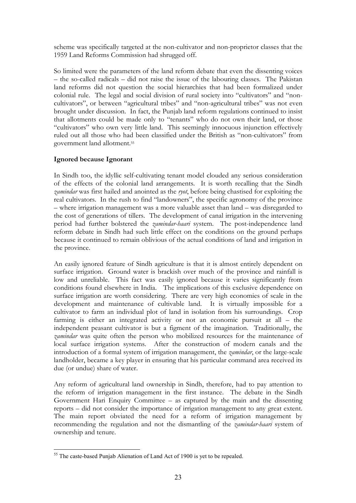scheme was specifically targeted at the non-cultivator and non-proprietor classes that the 1959 Land Reforms Commission had shrugged off.

So limited were the parameters of the land reform debate that even the dissenting voices – the so-called radicals – did not raise the issue of the labouring classes. The Pakistan land reforms did not question the social hierarchies that had been formalized under colonial rule. The legal and social division of rural society into "cultivators" and "noncultivators", or between "agricultural tribes" and "non-agricultural tribes" was not even brought under discussion. In fact, the Punjab land reform regulations continued to insist that allotments could be made only to "tenants" who do not own their land, or those "cultivators" who own very little land. This seemingly innocuous injunction effectively ruled out all those who had been classified under the British as "non-cultivators" from government land allotment.55

# **Ignored because Ignorant**

In Sindh too, the idyllic self-cultivating tenant model clouded any serious consideration of the effects of the colonial land arrangements. It is worth recalling that the Sindh *zamindar* was first hailed and anointed as the *ryot*, before being chastised for exploiting the real cultivators. In the rush to find "landowners", the specific agronomy of the province – where irrigation management was a more valuable asset than land – was disregarded to the cost of generations of tillers. The development of canal irrigation in the intervening period had further bolstered the *zamindar-haari* system. The post-independence land reform debate in Sindh had such little effect on the conditions on the ground perhaps because it continued to remain oblivious of the actual conditions of land and irrigation in the province.

An easily ignored feature of Sindh agriculture is that it is almost entirely dependent on surface irrigation. Ground water is brackish over much of the province and rainfall is low and unreliable. This fact was easily ignored because it varies significantly from conditions found elsewhere in India. The implications of this exclusive dependence on surface irrigation are worth considering. There are very high economies of scale in the development and maintenance of cultivable land. It is virtually impossible for a cultivator to farm an individual plot of land in isolation from his surroundings. Crop farming is either an integrated activity or not an economic pursuit at all – the independent peasant cultivator is but a figment of the imagination. Traditionally, the *zamindar* was quite often the person who mobilized resources for the maintenance of local surface irrigation systems. After the construction of modern canals and the introduction of a formal system of irrigation management, the *zamindar*, or the large-scale landholder, became a key player in ensuring that his particular command area received its due (or undue) share of water.

Any reform of agricultural land ownership in Sindh, therefore, had to pay attention to the reform of irrigation management in the first instance. The debate in the Sindh Government Hari Enquiry Committee – as captured by the main and the dissenting reports – did not consider the importance of irrigation management to any great extent. The main report obviated the need for a reform of irrigation management by recommending the regulation and not the dismantling of the *zamindar-haari* system of ownership and tenure.

 $55$  The caste-based Punjab Alienation of Land Act of 1900 is yet to be repealed.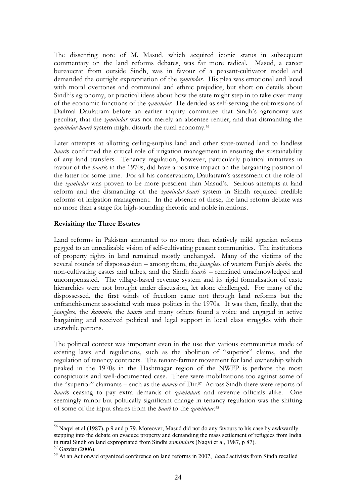The dissenting note of M. Masud, which acquired iconic status in subsequent commentary on the land reforms debates, was far more radical. Masud, a career bureaucrat from outside Sindh, was in favour of a peasant-cultivator model and demanded the outright expropriation of the *zamindar*. His plea was emotional and laced with moral overtones and communal and ethnic prejudice, but short on details about Sindh's agronomy, or practical ideas about how the state might step in to take over many of the economic functions of the *zamindar*. He derided as self-serving the submissions of Dailmal Daulatram before an earlier inquiry committee that Sindh's agronomy was peculiar, that the *zamindar* was not merely an absentee rentier, and that dismantling the *zamindar-haari* system might disturb the rural economy.56

Later attempts at allotting ceiling-surplus land and other state-owned land to landless *haari*s confirmed the critical role of irrigation management in ensuring the sustainability of any land transfers. Tenancy regulation, however, particularly political initiatives in favour of the *haari*s in the 1970s, did have a positive impact on the bargaining position of the latter for some time. For all his conservatism, Daulatram's assessment of the role of the *zamindar* was proven to be more prescient than Masud's. Serious attempts at land reform and the dismantling of the *zamindar-haari* system in Sindh required credible reforms of irrigation management. In the absence of these, the land reform debate was no more than a stage for high-sounding rhetoric and noble intentions.

#### **Revisiting the Three Estates**

Land reforms in Pakistan amounted to no more than relatively mild agrarian reforms pegged to an unrealizable vision of self-cultivating peasant communities. The institutions of property rights in land remained mostly unchanged. Many of the victims of the several rounds of dispossession – among them, the *jaanglee*s of western Punjab *doab*s, the non-cultivating castes and tribes, and the Sindh *haari*s – remained unacknowledged and uncompensated. The village-based revenue system and its rigid formalisation of caste hierarchies were not brought under discussion, let alone challenged. For many of the dispossessed, the first winds of freedom came not through land reforms but the enfranchisement associated with mass politics in the 1970s. It was then, finally, that the *jaanglee*s, the *kammi*s, the *haari*s and many others found a voice and engaged in active bargaining and received political and legal support in local class struggles with their erstwhile patrons.

The political context was important even in the use that various communities made of existing laws and regulations, such as the abolition of "superior" claims, and the regulation of tenancy contracts. The tenant-farmer movement for land ownership which peaked in the 1970s in the Hashtnagar region of the NWFP is perhaps the most conspicuous and well-documented case. There were mobilizations too against some of the "superior" claimants – such as the *nawab* of Dir.57 Across Sindh there were reports of *haari*s ceasing to pay extra demands of *zamindar*s and revenue officials alike. One seemingly minor but politically significant change in tenancy regulation was the shifting of some of the input shares from the *haari* to the *zamindar*.58

<sup>56</sup> Naqvi et al (1987), p 9 and p 79. Moreover, Masud did not do any favours to his case by awkwardly stepping into the debate on evacuee property and demanding the mass settlement of refugees from India in rural Sindh on land expropriated from Sindhi *zamindar*<sup>s</sup> (Naqvi et al, 1987, p 87). 57 Gazdar (2006).

<sup>58</sup> At an ActionAid organized conference on land reforms in 2007, *haari* activists from Sindh recalled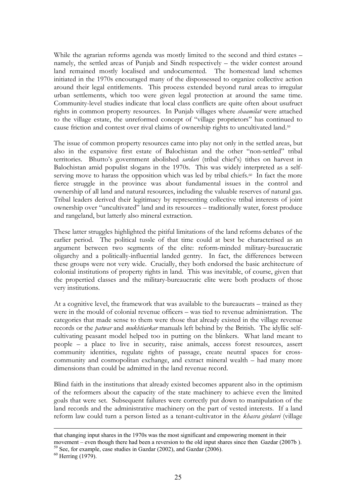While the agrarian reforms agenda was mostly limited to the second and third estates – namely, the settled areas of Punjab and Sindh respectively – the wider contest around land remained mostly localised and undocumented. The homestead land schemes initiated in the 1970s encouraged many of the dispossessed to organize collective action around their legal entitlements. This process extended beyond rural areas to irregular urban settlements, which too were given legal protection at around the same time. Community-level studies indicate that local class conflicts are quite often about usufruct rights in common property resources. In Punjab villages where *shaamilat* were attached to the village estate, the unreformed concept of "village proprietors" has continued to cause friction and contest over rival claims of ownership rights to uncultivated land.59

The issue of common property resources came into play not only in the settled areas, but also in the expansive first estate of Balochistan and the other "non-settled" tribal territories. Bhutto's government abolished *sardari* (tribal chief's) tithes on harvest in Balochistan amid populist slogans in the 1970s. This was widely interpreted as a selfserving move to harass the opposition which was led by tribal chiefs.<sup>60</sup> In fact the more fierce struggle in the province was about fundamental issues in the control and ownership of all land and natural resources, including the valuable reserves of natural gas. Tribal leaders derived their legitimacy by representing collective tribal interests of joint ownership over "uncultivated" land and its resources – traditionally water, forest produce and rangeland, but latterly also mineral extraction.

These latter struggles highlighted the pitiful limitations of the land reforms debates of the earlier period. The political tussle of that time could at best be characterised as an argument between two segments of the elite: reform-minded military-bureaucratic oligarchy and a politically-influential landed gentry. In fact, the differences between these groups were not very wide. Crucially, they both endorsed the basic architecture of colonial institutions of property rights in land. This was inevitable, of course, given that the propertied classes and the military-bureaucratic elite were both products of those very institutions.

At a cognitive level, the framework that was available to the bureaucrats – trained as they were in the mould of colonial revenue officers – was tied to revenue administration. The categories that made sense to them were those that already existed in the village revenue records or the *patwar* and *mukhtiarkar* manuals left behind by the British. The idyllic selfcultivating peasant model helped too in putting on the blinkers. What land meant to people – a place to live in security, raise animals, access forest resources, assert community identities, regulate rights of passage, create neutral spaces for crosscommunity and cosmopolitan exchange, and extract mineral wealth – had many more dimensions than could be admitted in the land revenue record.

Blind faith in the institutions that already existed becomes apparent also in the optimism of the reformers about the capacity of the state machinery to achieve even the limited goals that were set. Subsequent failures were correctly put down to manipulation of the land records and the administrative machinery on the part of vested interests. If a land reform law could turn a person listed as a tenant-cultivator in the *khasra girdavri* (village

that changing input shares in the 1970s was the most significant and empowering moment in their movement – even though there had been a reversion to the old input shares since then Gazdar (2007b ). 59 See, for example, case studies in Gazdar (2002), and Gazdar (2006).

 $60$  Herring (1979)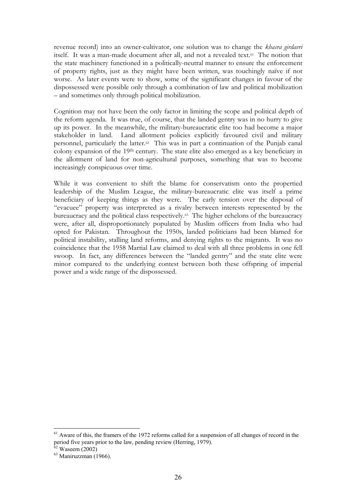revenue record) into an owner-cultivator, one solution was to change the *khasra girdavri* itself. It was a man-made document after all, and not a revealed text.61 The notion that the state machinery functioned in a politically-neutral manner to ensure the enforcement of property rights, just as they might have been written, was touchingly naïve if not worse. As later events were to show, some of the significant changes in favour of the dispossessed were possible only through a combination of law and political mobilization – and sometimes only through political mobilization.

Cognition may not have been the only factor in limiting the scope and political depth of the reform agenda. It was true, of course, that the landed gentry was in no hurry to give up its power. In the meanwhile, the military-bureaucratic elite too had become a major stakeholder in land. Land allotment policies explicitly favoured civil and military personnel, particularly the latter.62 This was in part a continuation of the Punjab canal colony expansion of the 19th century. The state elite also emerged as a key beneficiary in the allotment of land for non-agricultural purposes, something that was to become increasingly conspicuous over time.

While it was convenient to shift the blame for conservatism onto the propertied leadership of the Muslim League, the military-bureaucratic elite was itself a prime beneficiary of keeping things as they were. The early tension over the disposal of "evacuee" property was interpreted as a rivalry between interests represented by the bureaucracy and the political class respectively.63 The higher echelons of the bureaucracy were, after all, disproportionately populated by Muslim officers from India who had opted for Pakistan. Throughout the 1950s, landed politicians had been blamed for political instability, stalling land reforms, and denying rights to the migrants. It was no coincidence that the 1958 Martial Law claimed to deal with all three problems in one fell swoop. In fact, any differences between the "landed gentry" and the state elite were minor compared to the underlying contest between both these offspring of imperial power and a wide range of the dispossessed.

 $<sup>61</sup>$  Aware of this, the framers of the 1972 reforms called for a suspension of all changes of record in the</sup> period five years prior to the law, pending review (Herring, 1979).

 $62$  Waseem (2002)

<sup>63</sup> Maniruzzman (1966).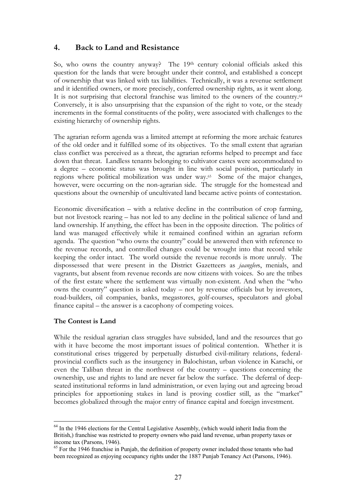# **4. Back to Land and Resistance**

So, who owns the country anyway? The 19th century colonial officials asked this question for the lands that were brought under their control, and established a concept of ownership that was linked with tax liabilities. Technically, it was a revenue settlement and it identified owners, or more precisely, conferred ownership rights, as it went along. It is not surprising that electoral franchise was limited to the owners of the country.<sup>64</sup> Conversely, it is also unsurprising that the expansion of the right to vote, or the steady increments in the formal constituents of the polity, were associated with challenges to the existing hierarchy of ownership rights.

The agrarian reform agenda was a limited attempt at reforming the more archaic features of the old order and it fulfilled some of its objectives. To the small extent that agrarian class conflict was perceived as a threat, the agrarian reforms helped to preempt and face down that threat. Landless tenants belonging to cultivator castes were accommodated to a degree – economic status was brought in line with social position, particularly in regions where political mobilization was under way.<sup>65</sup> Some of the major changes, however, were occurring on the non-agrarian side. The struggle for the homestead and questions about the ownership of uncultivated land became active points of contestation.

Economic diversification – with a relative decline in the contribution of crop farming, but not livestock rearing – has not led to any decline in the political salience of land and land ownership. If anything, the effect has been in the opposite direction. The politics of land was managed effectively while it remained confined within an agrarian reform agenda. The question "who owns the country" could be answered then with reference to the revenue records, and controlled changes could be wrought into that record while keeping the order intact. The world outside the revenue records is more unruly. The dispossessed that were present in the District Gazetteers as *jaanglee*s, menials, and vagrants, but absent from revenue records are now citizens with voices. So are the tribes of the first estate where the settlement was virtually non-existent. And when the "who owns the country" question is asked today – not by revenue officials but by investors, road-builders, oil companies, banks, megastores, golf-courses, speculators and global finance capital – the answer is a cacophony of competing voices.

# **The Contest is Land**

While the residual agrarian class struggles have subsided, land and the resources that go with it have become the most important issues of political contention. Whether it is constitutional crises triggered by perpetually disturbed civil-military relations, federalprovincial conflicts such as the insurgency in Balochistan, urban violence in Karachi, or even the Taliban threat in the northwest of the country – questions concerning the ownership, use and rights to land are never far below the surface. The deferral of deepseated institutional reforms in land administration, or even laying out and agreeing broad principles for apportioning stakes in land is proving costlier still, as the "market" becomes globalized through the major entry of finance capital and foreign investment.

<sup>&</sup>lt;sup>64</sup> In the 1946 elections for the Central Legislative Assembly, (which would inherit India from the British,) franchise was restricted to property owners who paid land revenue, urban property taxes or income tax (Parsons, 1946).

<sup>&</sup>lt;sup>65</sup> For the 1946 franchise in Punjab, the definition of property owner included those tenants who had been recognized as enjoying occupancy rights under the 1887 Punjab Tenancy Act (Parsons, 1946).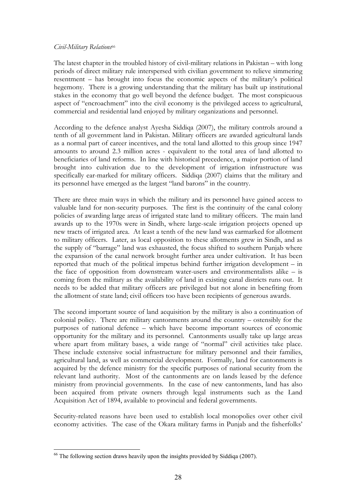#### *Civil-Military Relations*<sup>66</sup>

The latest chapter in the troubled history of civil-military relations in Pakistan – with long periods of direct military rule interspersed with civilian government to relieve simmering resentment – has brought into focus the economic aspects of the military's political hegemony. There is a growing understanding that the military has built up institutional stakes in the economy that go well beyond the defence budget. The most conspicuous aspect of "encroachment" into the civil economy is the privileged access to agricultural, commercial and residential land enjoyed by military organizations and personnel.

According to the defence analyst Ayesha Siddiqa (2007), the military controls around a tenth of all government land in Pakistan. Military officers are awarded agricultural lands as a normal part of career incentives, and the total land allotted to this group since 1947 amounts to around 2.3 million acres - equivalent to the total area of land allotted to beneficiaries of land reforms. In line with historical precedence, a major portion of land brought into cultivation due to the development of irrigation infrastructure was specifically ear-marked for military officers. Siddiqa (2007) claims that the military and its personnel have emerged as the largest "land barons" in the country.

There are three main ways in which the military and its personnel have gained access to valuable land for non-security purposes. The first is the continuity of the canal colony policies of awarding large areas of irrigated state land to military officers. The main land awards up to the 1970s were in Sindh, where large-scale irrigation projects opened up new tracts of irrigated area. At least a tenth of the new land was earmarked for allotment to military officers. Later, as local opposition to these allotments grew in Sindh, and as the supply of "barrage" land was exhausted, the focus shifted to southern Punjab where the expansion of the canal network brought further area under cultivation. It has been reported that much of the political impetus behind further irrigation development – in the face of opposition from downstream water-users and environmentalists alike – is coming from the military as the availability of land in existing canal districts runs out. It needs to be added that military officers are privileged but not alone in benefiting from the allotment of state land; civil officers too have been recipients of generous awards.

The second important source of land acquisition by the military is also a continuation of colonial policy. There are military cantonments around the country – ostensibly for the purposes of national defence – which have become important sources of economic opportunity for the military and its personnel. Cantonments usually take up large areas where apart from military bases, a wide range of "normal" civil activities take place. These include extensive social infrastructure for military personnel and their families, agricultural land, as well as commercial development. Formally, land for cantonments is acquired by the defence ministry for the specific purposes of national security from the relevant land authority. Most of the cantonments are on lands leased by the defence ministry from provincial governments. In the case of new cantonments, land has also been acquired from private owners through legal instruments such as the Land Acquisition Act of 1894, available to provincial and federal governments.

Security-related reasons have been used to establish local monopolies over other civil economy activities. The case of the Okara military farms in Punjab and the fisherfolks'

 $66$  The following section draws heavily upon the insights provided by Siddique (2007).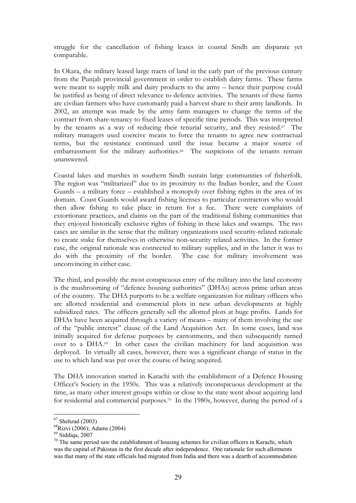struggle for the cancellation of fishing leases in coastal Sindh are disparate yet comparable.

In Okara, the military leased large tracts of land in the early part of the previous century from the Punjab provincial government in order to establish dairy farms. These farms were meant to supply milk and dairy products to the army – hence their purpose could be justified as being of direct relevance to defence activities. The tenants of these farms are civilian farmers who have customarily paid a harvest share to their army landlords. In 2002, an attempt was made by the army farm managers to change the terms of the contract from share-tenancy to fixed leases of specific time periods. This was interpreted by the tenants as a way of reducing their tenurial security, and they resisted.<sup>67</sup> The military managers used coercive means to force the tenants to agree new contractual terms, but the resistance continued until the issue became a major source of embarrassment for the military authorities.<sup>68</sup> The suspicions of the tenants remain unanswered.

Coastal lakes and marshes in southern Sindh sustain large communities of fisherfolk. The region was "militarized" due to its proximity to the Indian border, and the Coast Guards – a military force – established a monopoly over fishing rights in the area of its domain. Coast Guards would award fishing licenses to particular contractors who would then allow fishing to take place in return for a fee. There were complaints of extortionate practices, and claims on the part of the traditional fishing communities that they enjoyed historically exclusive rights of fishing in these lakes and swamps. The two cases are similar in the sense that the military organizations used security-related rationale to create stake for themselves in otherwise non-security related activities. In the former case, the original rationale was connected to military supplies, and in the latter it was to do with the proximity of the border. The case for military involvement was unconvincing in either case.

The third, and possibly the most conspicuous entry of the military into the land economy is the mushrooming of "defence housing authorities" (DHAs) across prime urban areas of the country. The DHA purports to be a welfare organization for military officers who are allotted residential and commercial plots in new urban developments at highly subsidized rates. The officers generally sell the allotted plots at huge profits. Lands for DHAs have been acquired through a variety of means – many of them involving the use of the "public interest" clause of the Land Acquisition Act. In some cases, land was initially acquired for defense purposes by cantonments, and then subsequently turned over to a DHA.<sup>69</sup> In other cases the civilian machinery for land acquisition was deployed. In virtually all cases, however, there was a significant change of status in the use to which land was put over the course of being acquired.

The DHA innovation started in Karachi with the establishment of a Defence Housing Officer's Society in the 1950s. This was a relatively inconspicuous development at the time, as many other interest groups within or close to the state went about acquiring land for residential and commercial purposes.<sup>70</sup> In the 1980s, however, during the period of a

 $67$  Shehzad (2003)

<sup>68</sup>Rizvi (2006); Adams (2004)

 $69$  Siddiqa, 2007

 $70$  The same period saw the establishment of housing schemes for civilian officers in Karachi, which was the capital of Pakistan in the first decade after independence. One rationale for such allotments was that many of the state officials had migrated from India and there was a dearth of accommodation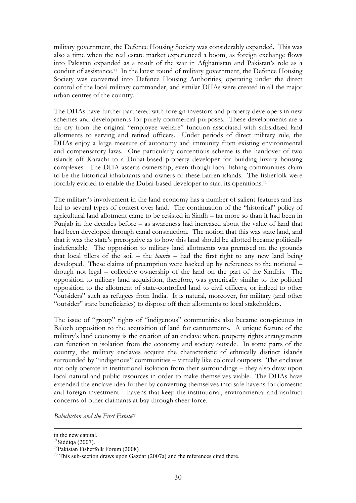military government, the Defence Housing Society was considerably expanded. This was also a time when the real estate market experienced a boom, as foreign exchange flows into Pakistan expanded as a result of the war in Afghanistan and Pakistan's role as a conduit of assistance.71 In the latest round of military government, the Defence Housing Society was converted into Defence Housing Authorities, operating under the direct control of the local military commander, and similar DHAs were created in all the major urban centres of the country.

The DHAs have further partnered with foreign investors and property developers in new schemes and developments for purely commercial purposes. These developments are a far cry from the original "employee welfare" function associated with subsidized land allotments to serving and retired officers. Under periods of direct military rule, the DHAs enjoy a large measure of autonomy and immunity from existing environmental and compensatory laws. One particularly contentious scheme is the handover of two islands off Karachi to a Dubai-based property developer for building luxury housing complexes. The DHA asserts ownership, even though local fishing communities claim to be the historical inhabitants and owners of these barren islands. The fisherfolk were forcibly evicted to enable the Dubai-based developer to start its operations.<sup>72</sup>

The military's involvement in the land economy has a number of salient features and has led to several types of contest over land. The continuation of the "historical" policy of agricultural land allotment came to be resisted in Sindh – far more so than it had been in Punjab in the decades before – as awareness had increased about the value of land that had been developed through canal construction. The notion that this was state land, and that it was the state's prerogative as to how this land should be allotted became politically indefensible. The opposition to military land allotments was premised on the grounds that local tillers of the soil – the *haari*s – had the first right to any new land being developed. These claims of preemption were backed up by references to the notional – though not legal – collective ownership of the land on the part of the Sindhis. The opposition to military land acquisition, therefore, was generically similar to the political opposition to the allotment of state-controlled land to civil officers, or indeed to other "outsiders" such as refugees from India. It is natural, moreover, for military (and other "outsider" state beneficiaries) to dispose off their allotments to local stakeholders.

The issue of "group" rights of "indigenous" communities also became conspicuous in Baloch opposition to the acquisition of land for cantonments. A unique feature of the military's land economy is the creation of an enclave where property rights arrangements can function in isolation from the economy and society outside. In some parts of the country, the military enclaves acquire the characteristic of ethnically distinct islands surrounded by "indigenous" communities – virtually like colonial outposts. The enclaves not only operate in institutional isolation from their surroundings – they also draw upon local natural and public resources in order to make themselves viable. The DHAs have extended the enclave idea further by converting themselves into safe havens for domestic and foreign investment – havens that keep the institutional, environmental and usufruct concerns of other claimants at bay through sheer force.

*Balochistan and the First Estate73*

in the new capital.

 $71$ Siddiqa (2007).

<sup>72</sup>Pakistan Fisherfolk Forum (2008)

 $^{73}$  This sub-section draws upon Gazdar (2007a) and the references cited there.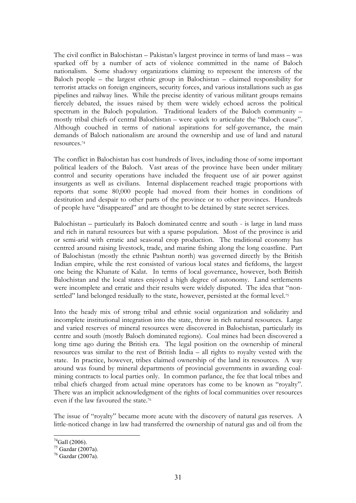The civil conflict in Balochistan – Pakistan's largest province in terms of land mass – was sparked off by a number of acts of violence committed in the name of Baloch nationalism. Some shadowy organizations claiming to represent the interests of the Baloch people – the largest ethnic group in Balochistan – claimed responsibility for terrorist attacks on foreign engineers, security forces, and various installations such as gas pipelines and railway lines. While the precise identity of various militant groups remains fiercely debated, the issues raised by them were widely echoed across the political spectrum in the Baloch population. Traditional leaders of the Baloch community – mostly tribal chiefs of central Balochistan – were quick to articulate the "Baloch cause". Although couched in terms of national aspirations for self-governance, the main demands of Baloch nationalism are around the ownership and use of land and natural resources.74

The conflict in Balochistan has cost hundreds of lives, including those of some important political leaders of the Baloch. Vast areas of the province have been under military control and security operations have included the frequent use of air power against insurgents as well as civilians. Internal displacement reached tragic proportions with reports that some 80,000 people had moved from their homes in conditions of destitution and despair to other parts of the province or to other provinces. Hundreds of people have "disappeared" and are thought to be detained by state secret services.

Balochistan – particularly its Baloch dominated centre and south - is large in land mass and rich in natural resources but with a sparse population. Most of the province is arid or semi-arid with erratic and seasonal crop production. The traditional economy has centred around raising livestock, trade, and marine fishing along the long coastline. Part of Balochistan (mostly the ethnic Pashtun north) was governed directly by the British Indian empire, while the rest consisted of various local states and fiefdoms, the largest one being the Khanate of Kalat. In terms of local governance, however, both British Balochistan and the local states enjoyed a high degree of autonomy. Land settlements were incomplete and erratic and their results were widely disputed. The idea that "nonsettled" land belonged residually to the state, however, persisted at the formal level.<sup>75</sup>

Into the heady mix of strong tribal and ethnic social organization and solidarity and incomplete institutional integration into the state, throw in rich natural resources. Large and varied reserves of mineral resources were discovered in Balochistan, particularly its centre and south (mostly Baloch dominated regions). Coal mines had been discovered a long time ago during the British era. The legal position on the ownership of mineral resources was similar to the rest of British India – all rights to royalty vested with the state. In practice, however, tribes claimed ownership of the land its resources. A way around was found by mineral departments of provincial governments in awarding coalmining contracts to local parties only. In common parlance, the fee that local tribes and tribal chiefs charged from actual mine operators has come to be known as "royalty". There was an implicit acknowledgment of the rights of local communities over resources even if the law favoured the state.76

The issue of "royalty" became more acute with the discovery of natural gas reserves. A little-noticed change in law had transferred the ownership of natural gas and oil from the

 $74$ Gall (2006).

<sup>75</sup> Gazdar (2007a).

<sup>76</sup> Gazdar (2007a).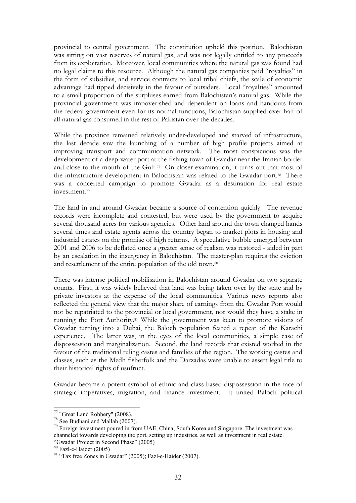provincial to central government. The constitution upheld this position. Balochistan was sitting on vast reserves of natural gas, and was not legally entitled to any proceeds from its exploitation. Moreover, local communities where the natural gas was found had no legal claims to this resource. Although the natural gas companies paid "royalties" in the form of subsidies, and service contracts to local tribal chiefs, the scale of economic advantage had tipped decisively in the favour of outsiders. Local "royalties" amounted to a small proportion of the surpluses earned from Balochistan's natural gas. While the provincial government was impoverished and dependent on loans and handouts from the federal government even for its normal functions, Balochistan supplied over half of all natural gas consumed in the rest of Pakistan over the decades.

While the province remained relatively under-developed and starved of infrastructure, the last decade saw the launching of a number of high profile projects aimed at improving transport and communication network. The most conspicuous was the development of a deep-water port at the fishing town of Gwadar near the Iranian border and close to the mouth of the Gulf.<sup>77</sup> On closer examination, it turns out that most of the infrastructure development in Balochistan was related to the Gwadar port.78 There was a concerted campaign to promote Gwadar as a destination for real estate investment.79

The land in and around Gwadar became a source of contention quickly. The revenue records were incomplete and contested, but were used by the government to acquire several thousand acres for various agencies. Other land around the town changed hands several times and estate agents across the country began to market plots in housing and industrial estates on the promise of high returns. A speculative bubble emerged between 2001 and 2006 to be deflated once a greater sense of realism was restored - aided in part by an escalation in the insurgency in Balochistan. The master-plan requires the eviction and resettlement of the entire population of the old town.80

There was intense political mobilisation in Balochistan around Gwadar on two separate counts. First, it was widely believed that land was being taken over by the state and by private investors at the expense of the local communities. Various news reports also reflected the general view that the major share of earnings from the Gwadar Port would not be repatriated to the provincial or local government, nor would they have a stake in running the Port Authority.81 While the government was keen to promote visions of Gwadar turning into a Dubai, the Baloch population feared a repeat of the Karachi experience. The latter was, in the eyes of the local communities, a simple case of dispossession and marginalization. Second, the land records that existed worked in the favour of the traditional ruling castes and families of the region. The working castes and classes, such as the Medh fisherfolk and the Darzadas were unable to assert legal title to their historical rights of usufruct.

Gwadar became a potent symbol of ethnic and class-based dispossession in the face of strategic imperatives, migration, and finance investment. It united Baloch political

<sup>77 &</sup>quot;Great Land Robbery" (2008).

<sup>78</sup> See Budhani and Mallah (2007).

<sup>&</sup>lt;sup>79</sup>. Foreign investment poured in from UAE, China, South Korea and Singapore. The investment was channeled towards developing the port, setting up industries, as well as investment in real estate. "Gwadar Project in Second Phase" (2005)

<sup>80</sup> Fazl-e-Haider (2005)

<sup>81 &</sup>quot;Tax free Zones in Gwadar" (2005); Fazl-e-Haider (2007).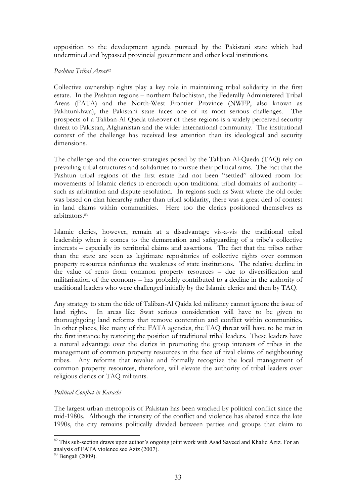opposition to the development agenda pursued by the Pakistani state which had undermined and bypassed provincial government and other local institutions.

#### *Pashtun Tribal Areas*<sup>82</sup>

Collective ownership rights play a key role in maintaining tribal solidarity in the first estate. In the Pashtun regions – northern Balochistan, the Federally Administered Tribal Areas (FATA) and the North-West Frontier Province (NWFP, also known as Pakhtunkhwa), the Pakistani state faces one of its most serious challenges. The prospects of a Taliban-Al Qaeda takeover of these regions is a widely perceived security threat to Pakistan, Afghanistan and the wider international community. The institutional context of the challenge has received less attention than its ideological and security dimensions.

The challenge and the counter-strategies posed by the Taliban Al-Qaeda (TAQ) rely on prevailing tribal structures and solidarities to pursue their political aims. The fact that the Pashtun tribal regions of the first estate had not been "settled" allowed room for movements of Islamic clerics to encroach upon traditional tribal domains of authority – such as arbitration and dispute resolution. In regions such as Swat where the old order was based on clan hierarchy rather than tribal solidarity, there was a great deal of contest in land claims within communities. Here too the clerics positioned themselves as arbitrators<sup>83</sup>

Islamic clerics, however, remain at a disadvantage vis-a-vis the traditional tribal leadership when it comes to the demarcation and safeguarding of a tribe's collective interests – especially its territorial claims and assertions. The fact that the tribes rather than the state are seen as legitimate repositories of collective rights over common property resources reinforces the weakness of state institutions. The relative decline in the value of rents from common property resources – due to diversification and militarisation of the economy – has probably contributed to a decline in the authority of traditional leaders who were challenged initially by the Islamic clerics and then by TAQ.

Any strategy to stem the tide of Taliban-Al Qaida led militancy cannot ignore the issue of land rights. In areas like Swat serious consideration will have to be given to thoroughgoing land reforms that remove contention and conflict within communities. In other places, like many of the FATA agencies, the TAQ threat will have to be met in the first instance by restoring the position of traditional tribal leaders. These leaders have a natural advantage over the clerics in promoting the group interests of tribes in the management of common property resources in the face of rival claims of neighbouring tribes. Any reforms that revalue and formally recognize the local management of common property resources, therefore, will elevate the authority of tribal leaders over religious clerics or TAQ militants.

### *Political Conflict in Karachi*

The largest urban metropolis of Pakistan has been wracked by political conflict since the mid-1980s. Although the intensity of the conflict and violence has abated since the late 1990s, the city remains politically divided between parties and groups that claim to

 $82$  This sub-section draws upon author's ongoing joint work with Asad Sayeed and Khalid Aziz. For an analysis of FATA violence see Aziz (2007).

<sup>83</sup> Bengali (2009).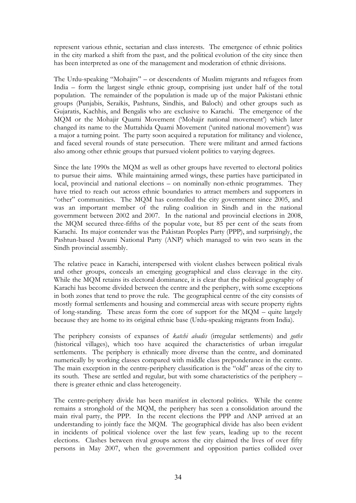represent various ethnic, sectarian and class interests. The emergence of ethnic politics in the city marked a shift from the past, and the political evolution of the city since then has been interpreted as one of the management and moderation of ethnic divisions.

The Urdu-speaking "Mohajirs" – or descendents of Muslim migrants and refugees from India – form the largest single ethnic group, comprising just under half of the total population. The remainder of the population is made up of the major Pakistani ethnic groups (Punjabis, Seraikis, Pashtuns, Sindhis, and Baloch) and other groups such as Gujaratis, Kachhis, and Bengalis who are exclusive to Karachi. The emergence of the MQM or the Mohajir Quami Movement ('Mohajir national movement') which later changed its name to the Muttahida Quami Movement ('united national movement') was a major a turning point. The party soon acquired a reputation for militancy and violence, and faced several rounds of state persecution. There were militant and armed factions also among other ethnic groups that pursued violent politics to varying degrees.

Since the late 1990s the MQM as well as other groups have reverted to electoral politics to pursue their aims. While maintaining armed wings, these parties have participated in local, provincial and national elections – on nominally non-ethnic programmes. They have tried to reach out across ethnic boundaries to attract members and supporters in "other" communities. The MQM has controlled the city government since 2005, and was an important member of the ruling coalition in Sindh and in the national government between 2002 and 2007. In the national and provincial elections in 2008, the MQM secured three-fifths of the popular vote, but 85 per cent of the seats from Karachi. Its major contender was the Pakistan Peoples Party (PPP), and surprisingly, the Pashtun-based Awami National Party (ANP) which managed to win two seats in the Sindh provincial assembly.

The relative peace in Karachi, interspersed with violent clashes between political rivals and other groups, conceals an emerging geographical and class cleavage in the city. While the MQM retains its electoral dominance, it is clear that the political geography of Karachi has become divided between the centre and the periphery, with some exceptions in both zones that tend to prove the rule. The geographical centre of the city consists of mostly formal settlements and housing and commercial areas with secure property rights of long-standing. These areas form the core of support for the MQM – quite largely because they are home to its original ethnic base (Urdu-speaking migrants from India).

The periphery consists of expanses of *katchi abadis* (irregular settlements) and *goths*  (historical villages), which too have acquired the characteristics of urban irregular settlements. The periphery is ethnically more diverse than the centre, and dominated numerically by working classes compared with middle class preponderance in the centre. The main exception in the centre-periphery classification is the "old" areas of the city to its south. These are settled and regular, but with some characteristics of the periphery – there is greater ethnic and class heterogeneity.

The centre-periphery divide has been manifest in electoral politics. While the centre remains a stronghold of the MQM, the periphery has seen a consolidation around the main rival party, the PPP. In the recent elections the PPP and ANP arrived at an understanding to jointly face the MQM. The geographical divide has also been evident in incidents of political violence over the last few years, leading up to the recent elections. Clashes between rival groups across the city claimed the lives of over fifty persons in May 2007, when the government and opposition parties collided over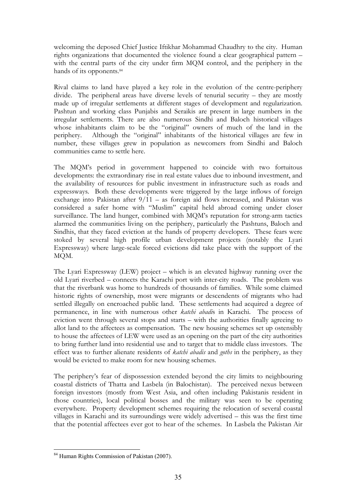welcoming the deposed Chief Justice Iftikhar Mohammad Chaudhry to the city. Human rights organizations that documented the violence found a clear geographical pattern – with the central parts of the city under firm MQM control, and the periphery in the hands of its opponents.<sup>84</sup>

Rival claims to land have played a key role in the evolution of the centre-periphery divide. The peripheral areas have diverse levels of tenurial security – they are mostly made up of irregular settlements at different stages of development and regularization. Pashtun and working class Punjabis and Seraikis are present in large numbers in the irregular settlements. There are also numerous Sindhi and Baloch historical villages whose inhabitants claim to be the "original" owners of much of the land in the periphery. Although the "original" inhabitants of the historical villages are few in number, these villages grew in population as newcomers from Sindhi and Baloch communities came to settle here.

The MQM's period in government happened to coincide with two fortuitous developments: the extraordinary rise in real estate values due to inbound investment, and the availability of resources for public investment in infrastructure such as roads and expressways. Both these developments were triggered by the large inflows of foreign exchange into Pakistan after 9/11 – as foreign aid flows increased, and Pakistan was considered a safer home with "Muslim" capital held abroad coming under closer surveillance. The land hunger, combined with MQM's reputation for strong-arm tactics alarmed the communities living on the periphery, particularly the Pashtuns, Baloch and Sindhis, that they faced eviction at the hands of property developers. These fears were stoked by several high profile urban development projects (notably the Lyari Expressway) where large-scale forced evictions did take place with the support of the MQM.

The Lyari Expressway (LEW) project – which is an elevated highway running over the old Lyari riverbed – connects the Karachi port with inter-city roads. The problem was that the riverbank was home to hundreds of thousands of families. While some claimed historic rights of ownership, most were migrants or descendents of migrants who had settled illegally on encroached public land. These settlements had acquired a degree of permanence, in line with numerous other *katchi abadi*s in Karachi. The process of eviction went through several stops and starts – with the authorities finally agreeing to allot land to the affectees as compensation. The new housing schemes set up ostensibly to house the affectees of LEW were used as an opening on the part of the city authorities to bring further land into residential use and to target that to middle class investors. The effect was to further alienate residents of *katchi abadis* and *goths* in the periphery, as they would be evicted to make room for new housing schemes.

The periphery's fear of dispossession extended beyond the city limits to neighbouring coastal districts of Thatta and Lasbela (in Balochistan). The perceived nexus between foreign investors (mostly from West Asia, and often including Pakistanis resident in those countries), local political bosses and the military was seen to be operating everywhere. Property development schemes requiring the relocation of several coastal villages in Karachi and its surroundings were widely advertised – this was the first time that the potential affectees ever got to hear of the schemes. In Lasbela the Pakistan Air

<sup>84</sup> Human Rights Commission of Pakistan (2007).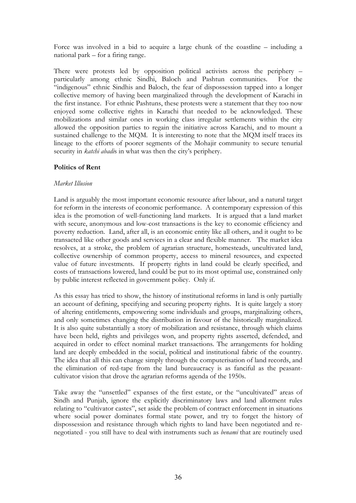Force was involved in a bid to acquire a large chunk of the coastline – including a national park – for a firing range.

There were protests led by opposition political activists across the periphery – particularly among ethnic Sindhi, Baloch and Pashtun communities. For the "indigenous" ethnic Sindhis and Baloch, the fear of dispossession tapped into a longer collective memory of having been marginalized through the development of Karachi in the first instance. For ethnic Pashtuns, these protests were a statement that they too now enjoyed some collective rights in Karachi that needed to be acknowledged. These mobilizations and similar ones in working class irregular settlements within the city allowed the opposition parties to regain the initiative across Karachi, and to mount a sustained challenge to the MQM. It is interesting to note that the MQM itself traces its lineage to the efforts of poorer segments of the Mohajir community to secure tenurial security in *katchi abadi*s in what was then the city's periphery.

## **Politics of Rent**

### *Market Illusion*

Land is arguably the most important economic resource after labour, and a natural target for reform in the interests of economic performance. A contemporary expression of this idea is the promotion of well-functioning land markets. It is argued that a land market with secure, anonymous and low-cost transactions is the key to economic efficiency and poverty reduction. Land, after all, is an economic entity like all others, and it ought to be transacted like other goods and services in a clear and flexible manner. The market idea resolves, at a stroke, the problem of agrarian structure, homesteads, uncultivated land, collective ownership of common property, access to mineral resources, and expected value of future investments. If property rights in land could be clearly specified, and costs of transactions lowered, land could be put to its most optimal use, constrained only by public interest reflected in government policy. Only if.

As this essay has tried to show, the history of institutional reforms in land is only partially an account of defining, specifying and securing property rights. It is quite largely a story of altering entitlements, empowering some individuals and groups, marginalizing others, and only sometimes changing the distribution in favour of the historically marginalized. It is also quite substantially a story of mobilization and resistance, through which claims have been held, rights and privileges won, and property rights asserted, defended, and acquired in order to effect nominal market transactions. The arrangements for holding land are deeply embedded in the social, political and institutional fabric of the country. The idea that all this can change simply through the computerisation of land records, and the elimination of red-tape from the land bureaucracy is as fanciful as the peasantcultivator vision that drove the agrarian reforms agenda of the 1950s.

Take away the "unsettled" expanses of the first estate, or the "uncultivated" areas of Sindh and Punjab, ignore the explicitly discriminatory laws and land allotment rules relating to "cultivator castes", set aside the problem of contract enforcement in situations where social power dominates formal state power, and try to forget the history of dispossession and resistance through which rights to land have been negotiated and renegotiated - you still have to deal with instruments such as *benami* that are routinely used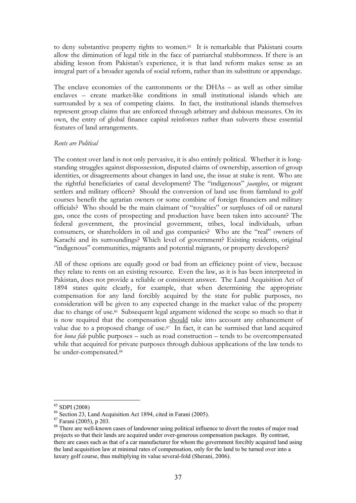to deny substantive property rights to women.<sup>85</sup> It is remarkable that Pakistani courts allow the diminution of legal title in the face of patriarchal stubbornness. If there is an abiding lesson from Pakistan's experience, it is that land reform makes sense as an integral part of a broader agenda of social reform, rather than its substitute or appendage.

The enclave economies of the cantonments or the DHAs – as well as other similar enclaves – create market-like conditions in small institutional islands which are surrounded by a sea of competing claims. In fact, the institutional islands themselves represent group claims that are enforced through arbitrary and dubious measures. On its own, the entry of global finance capital reinforces rather than subverts these essential features of land arrangements.

#### *Rents are Political*

The contest over land is not only pervasive, it is also entirely political. Whether it is longstanding struggles against dispossession, disputed claims of ownership, assertion of group identities, or disagreements about changes in land use, the issue at stake is rent. Who are the rightful beneficiaries of canal development? The "indigenous" *jaanglees*, or migrant settlers and military officers? Should the conversion of land use from farmland to golf courses benefit the agrarian owners or some combine of foreign financiers and military officials? Who should be the main claimant of "royalties" or surpluses of oil or natural gas, once the costs of prospecting and production have been taken into account? The federal government, the provincial government, tribes, local individuals, urban consumers, or shareholders in oil and gas companies? Who are the "real" owners of Karachi and its surroundings? Which level of government? Existing residents, original "indigenous" communities, migrants and potential migrants, or property developers?

All of these options are equally good or bad from an efficiency point of view, because they relate to rents on an existing resource. Even the law, as it is has been interpreted in Pakistan, does not provide a reliable or consistent answer. The Land Acquisition Act of 1894 states quite clearly, for example, that when determining the appropriate compensation for any land forcibly acquired by the state for public purposes, no consideration will be given to any expected change in the market value of the property due to change of use.<sup>86</sup> Subsequent legal argument widened the scope so much so that it is now required that the compensation should take into account any enhancement of value due to a proposed change of use.<sup>87</sup> In fact, it can be surmised that land acquired for *bona fide* public purposes – such as road construction – tends to be overcompensated while that acquired for private purposes through dubious applications of the law tends to be under-compensated.<sup>88</sup>

<sup>85</sup> SDPI (2008)

<sup>86</sup> Section 23, Land Acquisition Act 1894, cited in Farani (2005).

<sup>87</sup> Farani (2005), p 203.

<sup>88</sup> There are well-known cases of landowner using political influence to divert the routes of major road projects so that their lands are acquired under over-generous compensation packages. By contrast, there are cases such as that of a car manufacturer for whom the government forcibly acquired land using the land acquisition law at minimal rates of compensation, only for the land to be turned over into a luxury golf course, thus multiplying its value several-fold (Sherani, 2006).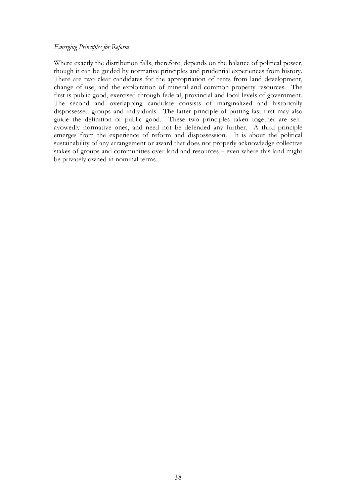#### *Emerging Principles for Reform*

Where exactly the distribution falls, therefore, depends on the balance of political power, though it can be guided by normative principles and prudential experiences from history. There are two clear candidates for the appropriation of rents from land development, change of use, and the exploitation of mineral and common property resources. The first is public good, exercised through federal, provincial and local levels of government. The second and overlapping candidate consists of marginalized and historically dispossessed groups and individuals. The latter principle of putting last first may also guide the definition of public good. These two principles taken together are selfavowedly normative ones, and need not be defended any further. A third principle emerges from the experience of reform and dispossession. It is about the political sustainability of any arrangement or award that does not properly acknowledge collective stakes of groups and communities over land and resources – even where this land might be privately owned in nominal terms.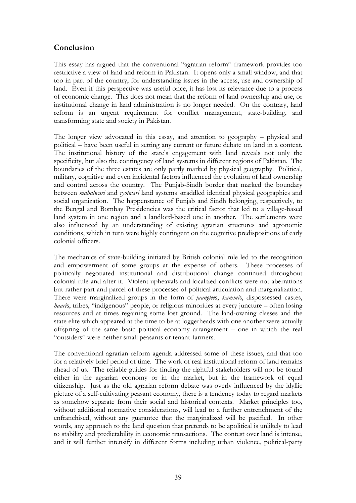# **Conclusion**

This essay has argued that the conventional "agrarian reform" framework provides too restrictive a view of land and reform in Pakistan. It opens only a small window, and that too in part of the country, for understanding issues in the access, use and ownership of land. Even if this perspective was useful once, it has lost its relevance due to a process of economic change. This does not mean that the reform of land ownership and use, or institutional change in land administration is no longer needed. On the contrary, land reform is an urgent requirement for conflict management, state-building, and transforming state and society in Pakistan.

The longer view advocated in this essay, and attention to geography – physical and political – have been useful in setting any current or future debate on land in a context. The institutional history of the state's engagement with land reveals not only the specificity, but also the contingency of land systems in different regions of Pakistan. The boundaries of the three estates are only partly marked by physical geography. Political, military, cognitive and even incidental factors influenced the evolution of land ownership and control across the country. The Punjab-Sindh border that marked the boundary between *mahalwari* and *ryotwari* land systems straddled identical physical geographies and social organization. The happenstance of Punjab and Sindh belonging, respectively, to the Bengal and Bombay Presidencies was the critical factor that led to a village-based land system in one region and a landlord-based one in another. The settlements were also influenced by an understanding of existing agrarian structures and agronomic conditions, which in turn were highly contingent on the cognitive predispositions of early colonial officers.

The mechanics of state-building initiated by British colonial rule led to the recognition and empowerment of some groups at the expense of others. These processes of politically negotiated institutional and distributional change continued throughout colonial rule and after it. Violent upheavals and localized conflicts were not aberrations but rather part and parcel of these processes of political articulation and marginalization. There were marginalized groups in the form of *jaanglee*s, *kammi*s, dispossessed castes, *haari*s, tribes, "indigenous" people, or religious minorities at every juncture – often losing resources and at times regaining some lost ground. The land-owning classes and the state elite which appeared at the time to be at loggerheads with one another were actually offspring of the same basic political economy arrangement – one in which the real "outsiders" were neither small peasants or tenant-farmers.

The conventional agrarian reform agenda addressed some of these issues, and that too for a relatively brief period of time. The work of real institutional reform of land remains ahead of us. The reliable guides for finding the rightful stakeholders will not be found either in the agrarian economy or in the market, but in the framework of equal citizenship. Just as the old agrarian reform debate was overly influenced by the idyllic picture of a self-cultivating peasant economy, there is a tendency today to regard markets as somehow separate from their social and historical contexts. Market principles too, without additional normative considerations, will lead to a further entrenchment of the enfranchised, without any guarantee that the marginalized will be pacified. In other words, any approach to the land question that pretends to be apolitical is unlikely to lead to stability and predictability in economic transactions. The contest over land is intense, and it will further intensify in different forms including urban violence, political-party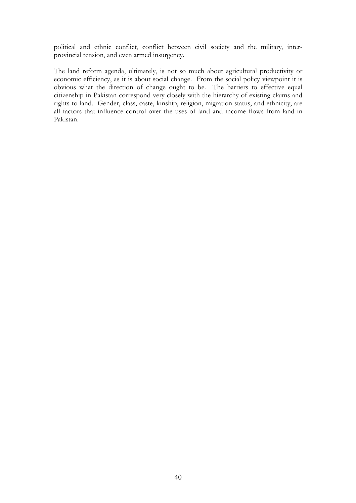political and ethnic conflict, conflict between civil society and the military, interprovincial tension, and even armed insurgency.

The land reform agenda, ultimately, is not so much about agricultural productivity or economic efficiency, as it is about social change. From the social policy viewpoint it is obvious what the direction of change ought to be. The barriers to effective equal citizenship in Pakistan correspond very closely with the hierarchy of existing claims and rights to land. Gender, class, caste, kinship, religion, migration status, and ethnicity, are all factors that influence control over the uses of land and income flows from land in Pakistan.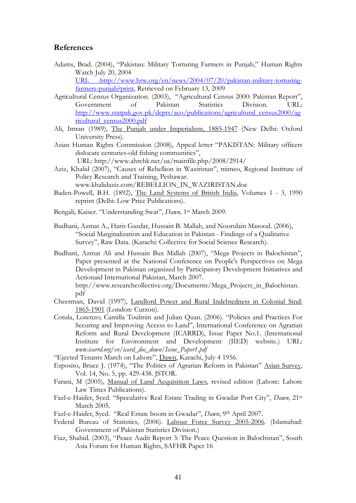#### **References**

Adams, Brad. (2004), "Pakistan: Military Torturing Farmers in Punjab," Human Rights Watch July 20, 2004

URL :http://www.hrw.org/en/news/2004/07/20/pakistan-military-torturingfarmers-punjab?print, Retrieved on February 13, 2009

- Agricultural Census Organization. (2003), "Agricultural Census 2000: Pakistan Report", Government of Pakistan Statistics Division. URL: http://www.statpak.gov.pk/depts/aco/publications/agricultural\_census2000/ag ricultural\_census2000.pdf
- Ali, Imran (1989), The Punjab under Imperialism, 1885-1947 (New Delhi: Oxford University Press).
- Asian Human Rights Commission (2008), Appeal letter "PAKISTAN: Military officers dislocate centuries-old fishing communities",

 URL: http://www.ahrchk.net/ua/mainfile.php/2008/2914/ Aziz, Khalid (2007), "Causes of Rebellion in Waziristan", mimeo, Regional Institute of

- Policy Research and Training, Peshawar. www.khalidaziz.com/REBELLION\_IN\_WAZIRISTAN.doc
- Baden-Powell, B.H. (1892), The Land Systems of British India, Volumes 1 3, 1990 reprint (Delhi: Low Price Publications).
- Bengali, Kaiser. "Understanding Swat", *Dawn,* 1st March 2009.
- Budhani, Azmat A., Haris Gazdar, Hussain B. Mallah, and Noorulain Masood. (2006), "Social Marginalization and Education in Pakistan - Findings of a Qualitative Survey", Raw Data. (Karachi: Collective for Social Science Research).
- Budhani, Azmat Ali and Hussain Bux Mallah (2007), "Mega Projects in Balochistan", Paper presented at the National Conference on People's Perspectives on Mega Development in Pakistan organized by Participatory Development Initiatives and Actionaid International Pakistan, March 2007.

http://www.researchcollective.org/Documents/Mega\_Projects\_in\_Balochistan. pdf

- Cheesman, David (1997), Landlord Power and Rural Indebtedness in Colonial Sind: 1865-1901 (London: Curzon).
- Cotula, Lorenzo; Camilla Toulmin and Julian Quan. (2006). "Policies and Practices For Securing and Improving Access to Land", International Conference on Agrarian Reform and Rural Development (ICARRD), Issue Paper No.1. (International Institute for Environment and Development (IIED) website.) URL: *www.icarrd.org/en/icard\_doc\_down/Issue\_Paper1.pdf*
- "Ejected Tenants March on Lahore", Dawn, Karachi, July 4 1956.
- Esposito, Bruce J. (1974), "The Politics of Agrarian Reform in Pakistan" Asian Survey, Vol. 14, No. 5, pp. 429-438. JSTOR.
- Farani, M (2005), Manual of Land Acquisition Laws, revised edition (Lahore: Lahore Law Times Publications).
- Fazl-e-Haider, Syed. "Speculative Real Estate Trading in Gwadar Port City", *Dawn,* 21st March 2005.
- Fazl-e-Haider, Syed. "Real Estate boom in Gwadar", *Dawn,* 9th April 2007.
- Federal Bureau of Statistics, (2006). Labour Force Survey 2005-2006. (Islamabad: Government of Pakistan Statistics Division.)
- Fiaz, Shahid. (2003), "Peace Audit Report 3: The Peace Question in Balochistan", South Asia Forum for Human Rights, SAFHR Paper 16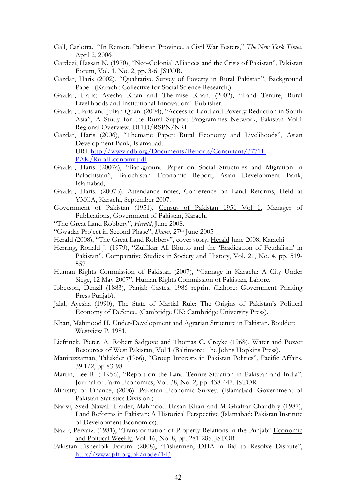- Gall, Carlotta. "In Remote Pakistan Province, a Civil War Festers," *The New York Times*, April 2, 2006
- Gardezi, Hassan N. (1970), "Neo-Colonial Alliances and the Crisis of Pakistan", Pakistan Forum, Vol. 1, No. 2, pp. 3-6. JSTOR.
- Gazdar, Haris (2002), "Qualitative Survey of Poverty in Rural Pakistan", Background Paper. (Karachi: Collective for Social Science Research,)
- Gazdar, Haris; Ayesha Khan and Thermise Khan. (2002), "Land Tenure, Rural Livelihoods and Institutional Innovation". Publisher.
- Gazdar, Haris and Julian Quan. (2004), "Access to Land and Poverty Reduction in South Asia", A Study for the Rural Support Programmes Network, Pakistan Vol.1 Regional Overview. DFID/RSPN/NRI
- Gazdar, Haris (2006), "Thematic Paper: Rural Economy and Livelihoods", Asian Development Bank, Islamabad. URL:http://www.adb.org/Documents/Reports/Consultant/37711-

PAK/RuralEconomy.pdf

- Gazdar, Haris (2007a), "Background Paper on Social Structures and Migration in Balochistan", Balochistan Economic Report, Asian Development Bank, Islamabad,.
- Gazdar, Haris. (2007b). Attendance notes, Conference on Land Reforms, Held at YMCA, Karachi, September 2007.
- Government of Pakistan (1951), Census of Pakistan 1951 Vol 1, Manager of Publications, Government of Pakistan, Karachi
- "The Great Land Robbery", *Herald*, June 2008.
- "Gwadar Project in Second Phase", *Dawn*, 27th June 2005
- Herald (2008), "The Great Land Robbery", cover story, Herald June 2008, Karachi
- Herring, Ronald J. (1979), "Zulfikar Ali Bhutto and the 'Eradication of Feudalism' in Pakistan", Comparative Studies in Society and History, Vol. 21, No. 4, pp. 519- 557
- Human Rights Commission of Pakistan (2007), "Carnage in Karachi: A City Under Siege, 12 May 2007", Human Rights Commission of Pakistan, Lahore.
- Ibbetson, Denzil (1883), Panjab Castes, 1986 reprint (Lahore: Government Printing Press Punjab).
- Jalal, Ayesha (1990), The State of Martial Rule: The Origins of Pakistan's Political Economy of Defence, (Cambridge UK: Cambridge University Press).
- Khan, Mahmood H. Under-Development and Agrarian Structure in Pakistan. Boulder: Westview P, 1981.
- Lieftinck, Pieter, A. Robert Sadgove and Thomas C. Creyke (1968), Water and Power Resources of West Pakistan, Vol 1 (Baltimore: The Johns Hopkins Press).
- Maniruzzaman, Talukder (1966), "Group Interests in Pakistan Politics", Pacific Affairs, 39:1/2, pp 83-98.
- Martin, Lee R. ( 1956), "Report on the Land Tenure Situation in Pakistan and India". Journal of Farm Economics, Vol. 38, No. 2, pp. 438-447. JSTOR
- Ministry of Finance, (2006). Pakistan Economic Survey. (Islamabad: Government of Pakistan Statistics Division.)
- Naqvi, Syed Nawab Haider, Mahmood Hasan Khan and M Ghaffar Chaudhry (1987), Land Reforms in Pakistan: A Historical Perspective (Islamabad: Pakistan Institute of Development Economics).
- Nazir, Pervaiz. (1981), "Transformation of Property Relations in the Punjab" Economic and Political Weekly, Vol. 16, No. 8, pp. 281-285. JSTOR.
- Pakistan Fisherfolk Forum. (2008), "Fishermen, DHA in Bid to Resolve Dispute", http://www.pff.org.pk/node/143